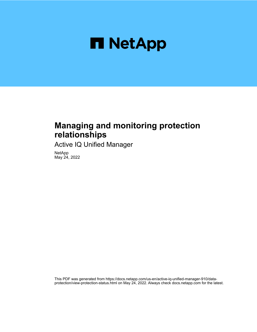

## **Managing and monitoring protection relationships**

Active IQ Unified Manager

NetApp May 24, 2022

This PDF was generated from https://docs.netapp.com/us-en/active-iq-unified-manager-910/dataprotection/view-protection-status.html on May 24, 2022. Always check docs.netapp.com for the latest.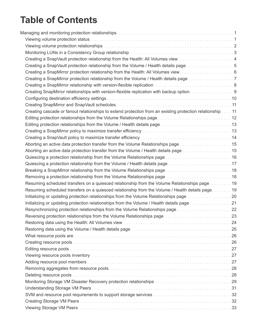# **Table of Contents**

| Creating a SnapVault protection relationship from the Volume / Health details page 5                                                                                                                                           |  |
|--------------------------------------------------------------------------------------------------------------------------------------------------------------------------------------------------------------------------------|--|
|                                                                                                                                                                                                                                |  |
| Creating a SnapMirror protection relationship from the Volume / Health details page manuscreation of 7                                                                                                                         |  |
|                                                                                                                                                                                                                                |  |
| Creating SnapMirror relationships with version-flexible replication with backup option. 9                                                                                                                                      |  |
|                                                                                                                                                                                                                                |  |
|                                                                                                                                                                                                                                |  |
| Creating cascade or fanout relationships to extend protection from an existing protection relationship 11                                                                                                                      |  |
|                                                                                                                                                                                                                                |  |
|                                                                                                                                                                                                                                |  |
| Creating a SnapMirror policy to maximize transfer efficiency manufactor contracts and subset of 13                                                                                                                             |  |
|                                                                                                                                                                                                                                |  |
| Aborting an active data protection transfer from the Volume Relationships page <i>manimental</i> and the 15                                                                                                                    |  |
| Aborting an active data protection transfer from the Volume / Health details page 15                                                                                                                                           |  |
|                                                                                                                                                                                                                                |  |
| Quiescing a protection relationship from the Volume / Health details page 17                                                                                                                                                   |  |
| Breaking a SnapMirror relationship from the Volume Relationships page 18                                                                                                                                                       |  |
|                                                                                                                                                                                                                                |  |
| Resuming scheduled transfers on a quiesced relationship from the Volume Relationships page 19                                                                                                                                  |  |
| Resuming scheduled transfers on a quiesced relationship from the Volume / Health details page. 19                                                                                                                              |  |
|                                                                                                                                                                                                                                |  |
| Initializing or updating protection relationships from the Volume / Health details page 21                                                                                                                                     |  |
| Resynchronizing protection relationships from the Volume Relationships page 22                                                                                                                                                 |  |
| Reversing protection relationships from the Volume Relationships page <i>maniformation</i> and the 23                                                                                                                          |  |
| Restoring data using the Health: All Volumes view mass of the contract of the contract of the 24                                                                                                                               |  |
|                                                                                                                                                                                                                                |  |
| What resource pools are with the contract of the contract of the contract of the contract of the contract of the contract of the contract of the contract of the contract of the contract of the contract of the contract of t |  |
|                                                                                                                                                                                                                                |  |
|                                                                                                                                                                                                                                |  |
| Viewing resource pools inventory with the contract of the contract of the Viewing resource pools inventory with the contract of the Viewing of Termina and 27                                                                  |  |
|                                                                                                                                                                                                                                |  |
|                                                                                                                                                                                                                                |  |
|                                                                                                                                                                                                                                |  |
|                                                                                                                                                                                                                                |  |
|                                                                                                                                                                                                                                |  |
|                                                                                                                                                                                                                                |  |
|                                                                                                                                                                                                                                |  |
|                                                                                                                                                                                                                                |  |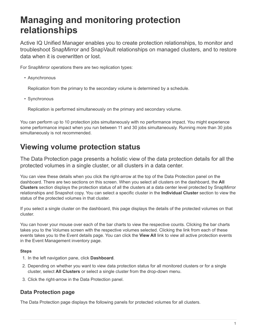# <span id="page-3-0"></span>**Managing and monitoring protection relationships**

Active IQ Unified Manager enables you to create protection relationships, to monitor and troubleshoot SnapMirror and SnapVault relationships on managed clusters, and to restore data when it is overwritten or lost.

For SnapMirror operations there are two replication types:

• Asynchronous

Replication from the primary to the secondary volume is determined by a schedule.

• Synchronous

Replication is performed simultaneously on the primary and secondary volume.

You can perform up to 10 protection jobs simultaneously with no performance impact. You might experience some performance impact when you run between 11 and 30 jobs simultaneously. Running more than 30 jobs simultaneously is not recommended.

## <span id="page-3-1"></span>**Viewing volume protection status**

The Data Protection page presents a holistic view of the data protection details for all the protected volumes in a single cluster, or all clusters in a data center.

You can view these details when you click the right-arrow at the top of the Data Protection panel on the dashboard. There are two sections on this screen. When you select all clusters on the dashboard, the **All Clusters** section displays the protection status of all the clusters at a data center level protected by SnapMirror relationships and Snapshot copy. You can select a specific cluster in the **Individual Cluster** section to view the status of the protected volumes in that cluster.

If you select a single cluster on the dashboard, this page displays the details of the protected volumes on that cluster.

You can hover your mouse over each of the bar charts to view the respective counts. Clicking the bar charts takes you to the Volumes screen with the respective volumes selected. Clicking the link from each of these events takes you to the Event details page. You can click the **View All** link to view all active protection events in the Event Management inventory page.

#### **Steps**

- 1. In the left navigation pane, click **Dashboard**.
- 2. Depending on whether you want to view data protection status for all monitored clusters or for a single cluster, select **All Clusters** or select a single cluster from the drop-down menu.
- 3. Click the right-arrow in the Data Protection panel.

## **Data Protection page**

The Data Protection page displays the following panels for protected volumes for all clusters.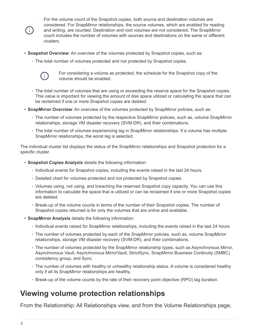$\left( \begin{array}{c} + \end{array} \right)$ 

For the volume count of the Snapshot copies, both source and destination volumes are considered. For SnapMirror relationships, the source volumes, which are enabled for reading and writing, are counted. Destination and root volumes are not considered. The SnapMirror count includes the number of volumes with sources and destinations on the same or different clusters.

- **Snapshot Overview**: An overview of the volumes protected by Snapshot copies, such as:
	- The total number of volumes protected and not protected by Snapshot copies.



For considering a volume as protected, the schedule for the Snapshot copy of the volume should be enabled.

- The total number of volumes that are using or exceeding the reserve space for the Snapshot copies. This value is important for viewing the amount of disk space utilized or calculating the space that can be reclaimed if one or more Snapshot copies are deleted.
- **SnapMirror Overview**: An overview of the volumes protected by SnapMirror policies, such as:
	- The number of volumes protected by the respective SnapMirror policies, such as, volume SnapMirror relationships, storage VM disaster recovery (SVM-DR), and their combinations.
	- The total number of volumes experiencing lag in SnapMirror relationships. If a volume has multiple SnapMirror relationships, the worst lag is selected.

The individual cluster list displays the status of the SnapMirror relationships and Snapshot protection for a specific cluster.

- **Snapshot Copies Analysis** details the following information:
	- Individual events for Snapshot copies, including the events raised in the last 24 hours.
	- Detailed chart for volumes protected and not protected by Snapshot copies.
	- Volumes using, not using, and breaching the reserved Snapshot copy capacity. You can use this information to calculate the space that is utilized or can be reclaimed if one or more Snapshot copies are deleted.
	- Break-up of the volume counts in terms of the number of their Snapshot copies. The number of Snapshot copies returned is for only the volumes that are online and available.
- **SnapMirror Analysis** details the following information:
	- Individual events raised for SnapMirror relationships, including the events raised in the last 24 hours
	- The number of volumes protected by each of the SnapMirror policies, such as, volume SnapMirror relationships, storage VM disaster recovery (SVM-DR), and their combinations.
	- The number of volumes protected by the SnapMirror relationship types, such as Asynchronous Mirror, Asynchronous Vault, Asynchronous MirrorVault, StrictSync, SnapMirror Business Continuity (SMBC) consistency group, and Sync.
	- The number of volumes with healthy or unhealthy relationship status. A volume is considered healthy only if all its SnapMirror relationships are healthy.
	- Break-up of the volume counts by the rate of their recovery point objective (RPO) lag duration.

## <span id="page-4-0"></span>**Viewing volume protection relationships**

From the Relationship: All Relationships view, and from the Volume Relationships page,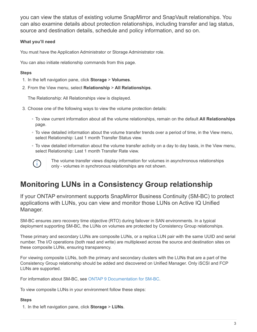you can view the status of existing volume SnapMirror and SnapVault relationships. You can also examine details about protection relationships, including transfer and lag status, source and destination details, schedule and policy information, and so on.

### **What you'll need**

You must have the Application Administrator or Storage Administrator role.

You can also initiate relationship commands from this page.

### **Steps**

- 1. In the left navigation pane, click **Storage** > **Volumes**.
- 2. From the View menu, select **Relationship** > **All Relationships**.

The Relationship: All Relationships view is displayed.

- 3. Choose one of the following ways to view the volume protection details:
	- To view current information about all the volume relationships, remain on the default **All Relationships** page.
	- To view detailed information about the volume transfer trends over a period of time, in the View menu, select Relationship: Last 1 month Transfer Status view.
	- To view detailed information about the volume transfer activity on a day to day basis, in the View menu, select Relationship: Last 1 month Transfer Rate view.



The volume transfer views display information for volumes in asynchronous relationships only - volumes in synchronous relationships are not shown.

## <span id="page-5-0"></span>**Monitoring LUNs in a Consistency Group relationship**

If your ONTAP environment supports SnapMirror Business Continuity (SM-BC) to protect applications with LUNs, you can view and monitor those LUNs on Active IQ Unified Manager.

SM-BC ensures zero recovery time objective (RTO) during failover in SAN environments. In a typical deployment supporting SM-BC, the LUNs on volumes are protected by Consistency Group relationships.

These primary and secondary LUNs are composite LUNs, or a replica LUN pair with the same UUID and serial number. The I/O operations (both read and write) are multiplexed across the source and destination sites on these composite LUNs, ensuring transparency.

For viewing composite LUNs, both the primary and secondary clusters with the LUNs that are a part of the Consistency Group relationship should be added and discovered on Unified Manager. Only iSCSI and FCP LUNs are supported.

For information about SM-BC, see [ONTAP 9 Documentation for SM-BC.](https://docs.netapp.com/us-en/ontap/smbc/index.html)

To view composite LUNs in your environment follow these steps:

#### **Steps**

1. In the left navigation pane, click **Storage** > **LUNs**.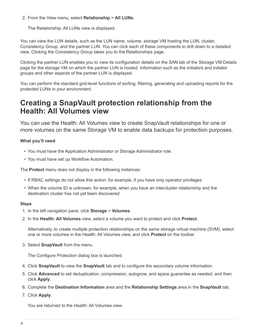2. From the View menu, select **Relationship** > **All LUNs**.

The Relationship: All LUNs view is displayed.

You can view the LUN details, such as the LUN name, volume, storage VM hosting the LUN, cluster, Consistency Group, and the partner LUN. You can click each of these components to drill down to a detailed view. Clicking the Consistency Group takes you to the Relationships page.

Clicking the partner LUN enables you to view its configuration details on the SAN tab of the Storage VM Details page for the storage VM on which the partner LUN is hosted. Information such as the initiators and initiator groups and other aspects of the partner LUN is displayed.

You can perform the standard grid-level functions of sorting, filtering, generating and uploading reports for the protected LUNs in your environment.

## <span id="page-6-0"></span>**Creating a SnapVault protection relationship from the Health: All Volumes view**

You can use the Health: All Volumes view to create SnapVault relationships for one or more volumes on the same Storage VM to enable data backups for protection purposes.

### **What you'll need**

- You must have the Application Administrator or Storage Administrator role.
- You must have set up Workflow Automation.

The **Protect** menu does not display in the following instances:

- If RBAC settings do not allow this action: for example, if you have only operator privileges
- When the volume ID is unknown: for example, when you have an intercluster relationship and the destination cluster has not yet been discovered

#### **Steps**

- 1. In the left navigation pane, click **Storage** > **Volumes**.
- 2. In the **Health: All Volumes** view, select a volume you want to protect and click **Protect**.

Alternatively, to create multiple protection relationships on the same storage virtual machine (SVM), select one or more volumes in the Health: All Volumes view, and click **Protect** on the toolbar.

3. Select **SnapVault** from the menu.

The Configure Protection dialog box is launched.

- 4. Click **SnapVault** to view the **SnapVault** tab and to configure the secondary volume information.
- 5. Click **Advanced** to set deduplication, compression, autogrow, and space guarantee as needed, and then click **Apply**.
- 6. Complete the **Destination Information** area and the **Relationship Settings** area in the **SnapVault** tab.
- 7. Click **Apply**.

You are returned to the Health: All Volumes view.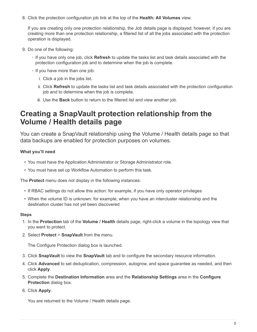8. Click the protection configuration job link at the top of the **Health: All Volumes** view.

If you are creating only one protection relationship, the Job details page is displayed; however, if you are creating more than one protection relationship, a filtered list of all the jobs associated with the protection operation is displayed.

- 9. Do one of the following:
	- If you have only one job, click **Refresh** to update the tasks list and task details associated with the protection configuration job and to determine when the job is complete.
	- If you have more than one job:
		- i. Click a job in the jobs list.
		- ii. Click **Refresh** to update the tasks list and task details associated with the protection configuration job and to determine when the job is complete.
		- iii. Use the **Back** button to return to the filtered list and view another job.

## <span id="page-7-0"></span>**Creating a SnapVault protection relationship from the Volume / Health details page**

You can create a SnapVault relationship using the Volume / Health details page so that data backups are enabled for protection purposes on volumes.

### **What you'll need**

- You must have the Application Administrator or Storage Administrator role.
- You must have set up Workflow Automation to perform this task.

The **Protect** menu does not display in the following instances:

- If RBAC settings do not allow this action: for example, if you have only operator privileges
- When the volume ID is unknown: for example, when you have an intercluster relationship and the destination cluster has not yet been discovered

#### **Steps**

- 1. In the **Protection** tab of the **Volume / Health** details page, right-click a volume in the topology view that you want to protect.
- 2. Select **Protect** > **SnapVault** from the menu.

The Configure Protection dialog box is launched.

- 3. Click **SnapVault** to view the **SnapVault** tab and to configure the secondary resource information.
- 4. Click **Advanced** to set deduplication, compression, autogrow, and space guarantee as needed, and then click **Apply**.
- 5. Complete the **Destination Information** area and the **Relationship Settings** area in the **Configure Protection** dialog box.
- 6. Click **Apply**.

You are returned to the Volume / Health details page.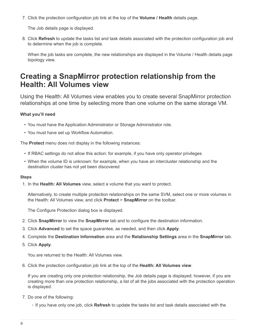7. Click the protection configuration job link at the top of the **Volume / Health** details page.

The Job details page is displayed.

8. Click **Refresh** to update the tasks list and task details associated with the protection configuration job and to determine when the job is complete.

When the job tasks are complete, the new relationships are displayed in the Volume / Health details page topology view.

## <span id="page-8-0"></span>**Creating a SnapMirror protection relationship from the Health: All Volumes view**

Using the Health: All Volumes view enables you to create several SnapMirror protection relationships at one time by selecting more than one volume on the same storage VM.

### **What you'll need**

- You must have the Application Administrator or Storage Administrator role.
- You must have set up Workflow Automation.

The **Protect** menu does not display in the following instances:

- If RBAC settings do not allow this action: for example, if you have only operator privileges
- When the volume ID is unknown: for example, when you have an intercluster relationship and the destination cluster has not yet been discovered

#### **Steps**

1. In the **Health: All Volumes** view, select a volume that you want to protect.

Alternatively, to create multiple protection relationships on the same SVM, select one or more volumes in the Health: All Volumes view, and click **Protect** > **SnapMirror** on the toolbar.

The Configure Protection dialog box is displayed.

- 2. Click **SnapMirror** to view the **SnapMirror** tab and to configure the destination information.
- 3. Click **Advanced** to set the space guarantee, as needed, and then click **Apply**.
- 4. Complete the **Destination Information** area and the **Relationship Settings** area in the **SnapMirror** tab.
- 5. Click **Apply**.

You are returned to the Health: All Volumes view.

6. Click the protection configuration job link at the top of the **Health: All Volumes view**.

If you are creating only one protection relationship, the Job details page is displayed; however, if you are creating more than one protection relationship, a list of all the jobs associated with the protection operation is displayed.

- 7. Do one of the following:
	- If you have only one job, click **Refresh** to update the tasks list and task details associated with the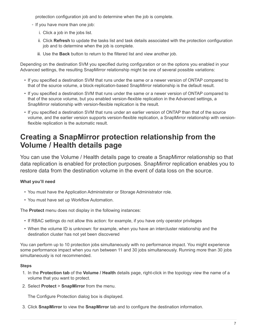protection configuration job and to determine when the job is complete.

- If you have more than one job:
	- i. Click a job in the jobs list.
	- ii. Click **Refresh** to update the tasks list and task details associated with the protection configuration job and to determine when the job is complete.
	- iii. Use the **Back** button to return to the filtered list and view another job.

Depending on the destination SVM you specified during configuration or on the options you enabled in your Advanced settings, the resulting SnapMirror relationship might be one of several possible variations:

- If you specified a destination SVM that runs under the same or a newer version of ONTAP compared to that of the source volume, a block-replication-based SnapMirror relationship is the default result.
- If you specified a destination SVM that runs under the same or a newer version of ONTAP compared to that of the source volume, but you enabled version-flexible replication in the Advanced settings, a SnapMirror relationship with version-flexible replication is the result.
- If you specified a destination SVM that runs under an earlier version of ONTAP than that of the source volume, and the earlier version supports version-flexible replication, a SnapMirror relationship with versionflexible replication is the automatic result.

## <span id="page-9-0"></span>**Creating a SnapMirror protection relationship from the Volume / Health details page**

You can use the Volume / Health details page to create a SnapMirror relationship so that data replication is enabled for protection purposes. SnapMirror replication enables you to restore data from the destination volume in the event of data loss on the source.

### **What you'll need**

- You must have the Application Administrator or Storage Administrator role.
- You must have set up Workflow Automation.

The **Protect** menu does not display in the following instances:

- If RBAC settings do not allow this action: for example, if you have only operator privileges
- When the volume ID is unknown: for example, when you have an intercluster relationship and the destination cluster has not yet been discovered

You can perform up to 10 protection jobs simultaneously with no performance impact. You might experience some performance impact when you run between 11 and 30 jobs simultaneously. Running more than 30 jobs simultaneously is not recommended.

#### **Steps**

- 1. In the **Protection tab** of the **Volume / Health** details page, right-click in the topology view the name of a volume that you want to protect.
- 2. Select **Protect** > **SnapMirror** from the menu.

The Configure Protection dialog box is displayed.

3. Click **SnapMirror** to view the **SnapMirror** tab and to configure the destination information.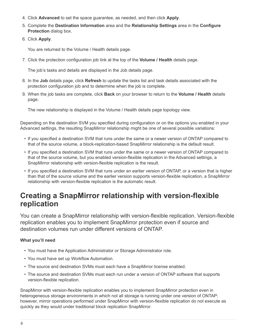- 4. Click **Advanced** to set the space guarantee, as needed, and then click **Apply**.
- 5. Complete the **Destination Information** area and the **Relationship Settings** area in the **Configure Protection** dialog box.
- 6. Click **Apply**.

You are returned to the Volume / Health details page.

7. Click the protection configuration job link at the top of the **Volume / Health** details page.

The job's tasks and details are displayed in the Job details page.

- 8. In the **Job** details page, click **Refresh** to update the tasks list and task details associated with the protection configuration job and to determine when the job is complete.
- 9. When the job tasks are complete, click **Back** on your browser to return to the **Volume / Health** details page.

The new relationship is displayed in the Volume / Health details page topology view.

Depending on the destination SVM you specified during configuration or on the options you enabled in your Advanced settings, the resulting SnapMirror relationship might be one of several possible variations:

- If you specified a destination SVM that runs under the same or a newer version of ONTAP compared to that of the source volume, a block-replication-based SnapMirror relationship is the default result.
- If you specified a destination SVM that runs under the same or a newer version of ONTAP compared to that of the source volume, but you enabled version-flexible replication in the Advanced settings, a SnapMirror relationship with version-flexible replication is the result.
- If you specified a destination SVM that runs under an earlier version of ONTAP, or a version that is higher than that of the source volume and the earlier version supports version-flexible replication, a SnapMirror relationship with version-flexible replication is the automatic result.

## <span id="page-10-0"></span>**Creating a SnapMirror relationship with version-flexible replication**

You can create a SnapMirror relationship with version-flexible replication. Version-flexible replication enables you to implement SnapMirror protection even if source and destination volumes run under different versions of ONTAP.

#### **What you'll need**

- You must have the Application Administrator or Storage Administrator role.
- You must have set up Workflow Automation.
- The source and destination SVMs must each have a SnapMirror license enabled.
- The source and destination SVMs must each run under a version of ONTAP software that supports version-flexible replication.

SnapMirror with version-flexible replication enables you to implement SnapMirror protection even in heterogeneous storage environments in which not all storage is running under one version of ONTAP; however, mirror operations performed under SnapMirror with version-flexible replication do not execute as quickly as they would under traditional block replication SnapMirror.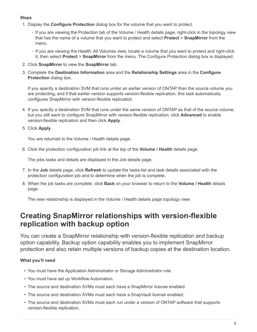### **Steps**

- 1. Display the **Configure Protection** dialog box for the volume that you want to protect.
	- If you are viewing the Protection tab of the Volume / Health details page, right-click in the topology view that has the name of a volume that you want to protect and select **Protect** > **SnapMirror** from the menu.
	- If you are viewing the Health: All Volumes view, locate a volume that you want to protect and right-click it; then select **Protect** > **SnapMirror** from the menu. The Configure Protection dialog box is displayed.
- 2. Click **SnapMirror** to view the **SnapMirror** tab.
- 3. Complete the **Destination Information** area and the **Relationship Settings** area in the **Configure Protection** dialog box.

If you specify a destination SVM that runs under an earlier version of ONTAP than the source volume you are protecting, and if that earlier version supports version-flexible replication, this task automatically configures SnapMirror with version-flexible replication.

- 4. If you specify a destination SVM that runs under the same version of ONTAP as that of the source volume, but you still want to configure SnapMirror with version-flexible replication, click **Advanced** to enable version-flexible replication and then click **Apply**.
- 5. Click **Apply**.

You are returned to the Volume / Health details page.

6. Click the protection configuration job link at the top of the **Volume / Health** details page.

The jobs tasks and details are displayed in the Job details page.

- 7. In the **Job** details page, click **Refresh** to update the tasks list and task details associated with the protection configuration job and to determine when the job is complete.
- 8. When the job tasks are complete, click **Back** on your browser to return to the **Volume / Health** details page.

The new relationship is displayed in the Volume / Health details page topology view.

## <span id="page-11-0"></span>**Creating SnapMirror relationships with version-flexible replication with backup option**

You can create a SnapMirror relationship with version-flexible replication and backup option capability. Backup option capability enables you to implement SnapMirror protection and also retain multiple versions of backup copies at the destination location.

### **What you'll need**

- You must have the Application Administrator or Storage Administrator role.
- You must have set up Workflow Automation.
- The source and destination SVMs must each have a SnapMirror license enabled.
- The source and destination SVMs must each have a SnapVault license enabled.
- The source and destination SVMs must each run under a version of ONTAP software that supports version-flexible replication.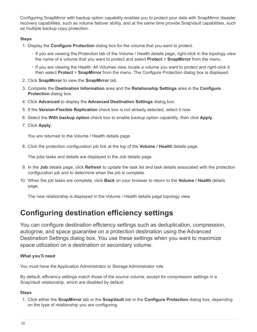Configuring SnapMirror with backup option capability enables you to protect your data with SnapMirror disaster recovery capabilities, such as volume failover ability, and at the same time provide SnapVault capabilities, such as multiple backup copy protection.

#### **Steps**

- 1. Display the **Configure Protection** dialog box for the volume that you want to protect.
	- If you are viewing the Protection tab of the Volume / Health details page, right-click in the topology view the name of a volume that you want to protect and select **Protect** > **SnapMirror** from the menu.
	- If you are viewing the Health: All Volumes view, locate a volume you want to protect and right-click it; then select **Protect** > **SnapMirror** from the menu. The Configure Protection dialog box is displayed.
- 2. Click **SnapMirror** to view the **SnapMirror** tab.
- 3. Complete the **Destination Information** area and the **Relationship Settings** area in the **Configure Protection** dialog box.
- 4. Click **Advanced** to display the **Advanced Destination Settings** dialog box.
- 5. If the **Version-Flexible Replication** check box is not already selected, select it now.
- 6. Select the **With backup option** check box to enable backup option capability; then click **Apply**.
- 7. Click **Apply**.

You are returned to the Volume / Health details page.

8. Click the protection configuration job link at the top of the **Volume / Health** details page.

The jobs tasks and details are displayed in the Job details page.

- 9. In the **Job** details page, click **Refresh** to update the task list and task details associated with the protection configuration job and to determine when the job is complete.
- 10. When the job tasks are complete, click **Back** on your browser to return to the **Volume / Health** details page.

The new relationship is displayed in the Volume / Health details page topology view.

## <span id="page-12-0"></span>**Configuring destination efficiency settings**

You can configure destination efficiency settings such as deduplication, compression, autogrow, and space guarantee on a protection destination using the Advanced Destination Settings dialog box. You use these settings when you want to maximize space utilization on a destination or secondary volume.

### **What you'll need**

You must have the Application Administrator or Storage Administrator role.

By default, efficiency settings match those of the source volume, except for compression settings in a SnapVault relationship, which are disabled by default.

#### **Steps**

1. Click either the **SnapMirror** tab or the **SnapVault** tab in the **Configure Protection** dialog box, depending on the type of relationship you are configuring.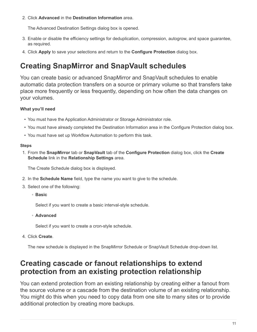2. Click **Advanced** in the **Destination Information** area.

The Advanced Destination Settings dialog box is opened.

- 3. Enable or disable the efficiency settings for deduplication, compression, autogrow, and space guarantee, as required.
- 4. Click **Apply** to save your selections and return to the **Configure Protection** dialog box.

## <span id="page-13-0"></span>**Creating SnapMirror and SnapVault schedules**

You can create basic or advanced SnapMirror and SnapVault schedules to enable automatic data protection transfers on a source or primary volume so that transfers take place more frequently or less frequently, depending on how often the data changes on your volumes.

### **What you'll need**

- You must have the Application Administrator or Storage Administrator role.
- You must have already completed the Destination Information area in the Configure Protection dialog box.
- You must have set up Workflow Automation to perform this task.

#### **Steps**

1. From the **SnapMirror** tab or **SnapVault** tab of the **Configure Protection** dialog box, click the **Create Schedule** link in the **Relationship Settings** area.

The Create Schedule dialog box is displayed.

- 2. In the **Schedule Name** field, type the name you want to give to the schedule.
- 3. Select one of the following:
	- **Basic**

Select if you want to create a basic interval-style schedule.

◦ **Advanced**

Select if you want to create a cron-style schedule.

4. Click **Create**.

The new schedule is displayed in the SnapMirror Schedule or SnapVault Schedule drop-down list.

## <span id="page-13-1"></span>**Creating cascade or fanout relationships to extend protection from an existing protection relationship**

You can extend protection from an existing relationship by creating either a fanout from the source volume or a cascade from the destination volume of an existing relationship. You might do this when you need to copy data from one site to many sites or to provide additional protection by creating more backups.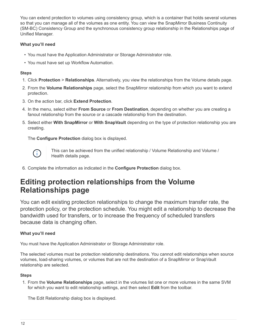You can extend protection to volumes using consistency group, which is a container that holds several volumes so that you can manage all of the volumes as one entity. You can view the SnapMirror Business Continuity (SM-BC) Consistency Group and the synchronous consistency group relationship in the Relationships page of Unified Manager.

### **What you'll need**

- You must have the Application Administrator or Storage Administrator role.
- You must have set up Workflow Automation.

### **Steps**

- 1. Click **Protection** > **Relationships**. Alternatively, you view the relationships from the Volume details page.
- 2. From the **Volume Relationships** page, select the SnapMirror relationship from which you want to extend protection.
- 3. On the action bar, click **Extend Protection**.
- 4. In the menu, select either **From Source** or **From Destination**, depending on whether you are creating a fanout relationship from the source or a cascade relationship from the destination.
- 5. Select either **With SnapMirror** or **With SnapVault** depending on the type of protection relationship you are creating.

The **Configure Protection** dialog box is displayed.



This can be achieved from the unified relationship / Volume Relationship and Volume / Health details page.

6. Complete the information as indicated in the **Configure Protection** dialog box.

## <span id="page-14-0"></span>**Editing protection relationships from the Volume Relationships page**

You can edit existing protection relationships to change the maximum transfer rate, the protection policy, or the protection schedule. You might edit a relationship to decrease the bandwidth used for transfers, or to increase the frequency of scheduled transfers because data is changing often.

### **What you'll need**

You must have the Application Administrator or Storage Administrator role.

The selected volumes must be protection relationship destinations. You cannot edit relationships when source volumes, load-sharing volumes, or volumes that are not the destination of a SnapMirror or SnapVault relationship are selected.

#### **Steps**

1. From the **Volume Relationships** page, select in the volumes list one or more volumes in the same SVM for which you want to edit relationship settings, and then select **Edit** from the toolbar.

The Edit Relationship dialog box is displayed.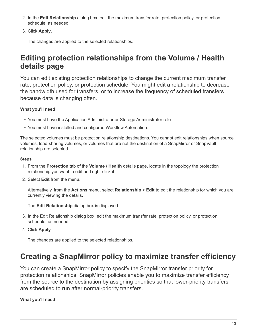- 2. In the **Edit Relationship** dialog box, edit the maximum transfer rate, protection policy, or protection schedule, as needed.
- 3. Click **Apply**.

The changes are applied to the selected relationships.

## <span id="page-15-0"></span>**Editing protection relationships from the Volume / Health details page**

You can edit existing protection relationships to change the current maximum transfer rate, protection policy, or protection schedule. You might edit a relationship to decrease the bandwidth used for transfers, or to increase the frequency of scheduled transfers because data is changing often.

## **What you'll need**

- You must have the Application Administrator or Storage Administrator role.
- You must have installed and configured Workflow Automation.

The selected volumes must be protection relationship destinations. You cannot edit relationships when source volumes, load-sharing volumes, or volumes that are not the destination of a SnapMirror or SnapVault relationship are selected.

### **Steps**

- 1. From the **Protection** tab of the **Volume / Health** details page, locate in the topology the protection relationship you want to edit and right-click it.
- 2. Select **Edit** from the menu.

Alternatively, from the **Actions** menu, select **Relationship** > **Edit** to edit the relationship for which you are currently viewing the details.

The **Edit Relationship** dialog box is displayed.

- 3. In the Edit Relationship dialog box, edit the maximum transfer rate, protection policy, or protection schedule, as needed.
- 4. Click **Apply**.

The changes are applied to the selected relationships.

## <span id="page-15-1"></span>**Creating a SnapMirror policy to maximize transfer efficiency**

You can create a SnapMirror policy to specify the SnapMirror transfer priority for protection relationships. SnapMirror policies enable you to maximize transfer efficiency from the source to the destination by assigning priorities so that lower-priority transfers are scheduled to run after normal-priority transfers.

## **What you'll need**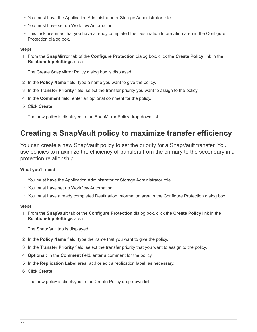- You must have the Application Administrator or Storage Administrator role.
- You must have set up Workflow Automation.
- This task assumes that you have already completed the Destination Information area in the Configure Protection dialog box.

#### **Steps**

1. From the **SnapMirror** tab of the **Configure Protection** dialog box, click the **Create Policy** link in the **Relationship Settings** area.

The Create SnapMirror Policy dialog box is displayed.

- 2. In the **Policy Name** field, type a name you want to give the policy.
- 3. In the **Transfer Priority** field, select the transfer priority you want to assign to the policy.
- 4. In the **Comment** field, enter an optional comment for the policy.
- 5. Click **Create**.

The new policy is displayed in the SnapMirror Policy drop-down list.

## <span id="page-16-0"></span>**Creating a SnapVault policy to maximize transfer efficiency**

You can create a new SnapVault policy to set the priority for a SnapVault transfer. You use policies to maximize the efficiency of transfers from the primary to the secondary in a protection relationship.

### **What you'll need**

- You must have the Application Administrator or Storage Administrator role.
- You must have set up Workflow Automation.
- You must have already completed Destination Information area in the Configure Protection dialog box.

#### **Steps**

1. From the **SnapVault** tab of the **Configure Protection** dialog box, click the **Create Policy** link in the **Relationship Settings** area.

The SnapVault tab is displayed.

- 2. In the **Policy Name** field, type the name that you want to give the policy.
- 3. In the **Transfer Priority** field, select the transfer priority that you want to assign to the policy.
- 4. **Optional:** In the **Comment** field, enter a comment for the policy.
- 5. In the **Replication Label** area, add or edit a replication label, as necessary.
- 6. Click **Create**.

The new policy is displayed in the Create Policy drop-down list.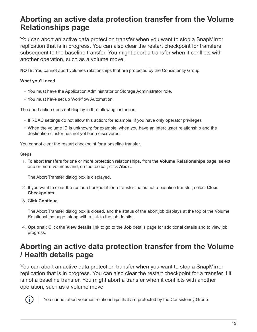## <span id="page-17-0"></span>**Aborting an active data protection transfer from the Volume Relationships page**

You can abort an active data protection transfer when you want to stop a SnapMirror replication that is in progress. You can also clear the restart checkpoint for transfers subsequent to the baseline transfer. You might abort a transfer when it conflicts with another operation, such as a volume move.

**NOTE:** You cannot abort volumes relationships that are protected by the Consistency Group.

### **What you'll need**

- You must have the Application Administrator or Storage Administrator role.
- You must have set up Workflow Automation.

The abort action does not display in the following instances:

- If RBAC settings do not allow this action: for example, if you have only operator privileges
- When the volume ID is unknown: for example, when you have an intercluster relationship and the destination cluster has not yet been discovered

You cannot clear the restart checkpoint for a baseline transfer.

#### **Steps**

1. To abort transfers for one or more protection relationships, from the **Volume Relationships** page, select one or more volumes and, on the toolbar, click **Abort**.

The Abort Transfer dialog box is displayed.

- 2. If you want to clear the restart checkpoint for a transfer that is not a baseline transfer, select **Clear Checkpoints**.
- 3. Click **Continue**.

The Abort Transfer dialog box is closed, and the status of the abort job displays at the top of the Volume Relationships page, along with a link to the job details.

4. **Optional:** Click the **View details** link to go to the **Job** details page for additional details and to view job progress.

## <span id="page-17-1"></span>**Aborting an active data protection transfer from the Volume / Health details page**

You can abort an active data protection transfer when you want to stop a SnapMirror replication that is in progress. You can also clear the restart checkpoint for a transfer if it is not a baseline transfer. You might abort a transfer when it conflicts with another operation, such as a volume move.



You cannot abort volumes relationships that are protected by the Consistency Group.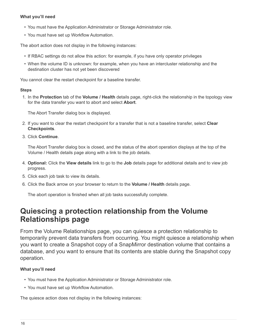#### **What you'll need**

- You must have the Application Administrator or Storage Administrator role.
- You must have set up Workflow Automation.

The abort action does not display in the following instances:

- If RBAC settings do not allow this action: for example, if you have only operator privileges
- When the volume ID is unknown: for example, when you have an intercluster relationship and the destination cluster has not yet been discovered

You cannot clear the restart checkpoint for a baseline transfer.

#### **Steps**

1. In the **Protection** tab of the **Volume / Health** details page, right-click the relationship in the topology view for the data transfer you want to abort and select **Abort**.

The Abort Transfer dialog box is displayed.

- 2. If you want to clear the restart checkpoint for a transfer that is not a baseline transfer, select **Clear Checkpoints**.
- 3. Click **Continue**.

The Abort Transfer dialog box is closed, and the status of the abort operation displays at the top of the Volume / Health details page along with a link to the job details.

- 4. **Optional:** Click the **View details** link to go to the **Job** details page for additional details and to view job progress.
- 5. Click each job task to view its details.
- 6. Click the Back arrow on your browser to return to the **Volume / Health** details page.

The abort operation is finished when all job tasks successfully complete.

## <span id="page-18-0"></span>**Quiescing a protection relationship from the Volume Relationships page**

From the Volume Relationships page, you can quiesce a protection relationship to temporarily prevent data transfers from occurring. You might quiesce a relationship when you want to create a Snapshot copy of a SnapMirror destination volume that contains a database, and you want to ensure that its contents are stable during the Snapshot copy operation.

### **What you'll need**

- You must have the Application Administrator or Storage Administrator role.
- You must have set up Workflow Automation.

The quiesce action does not display in the following instances: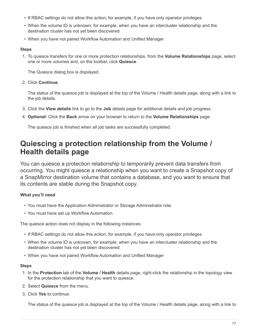- If RBAC settings do not allow this action; for example, if you have only operator privileges
- When the volume ID is unknown; for example, when you have an intercluster relationship and the destination cluster has not yet been discovered
- When you have not paired Workflow Automation and Unified Manager

#### **Steps**

1. To quiesce transfers for one or more protection relationships, from the **Volume Relationships** page, select one or more volumes and, on the toolbar, click **Quiesce**.

The Quiesce dialog box is displayed.

#### 2. Click **Continue**.

The status of the quiesce job is displayed at the top of the Volume / Health details page, along with a link to the job details.

- 3. Click the **View details** link to go to the **Job** details page for additional details and job progress.
- 4. **Optional:** Click the **Back** arrow on your browser to return to the **Volume Relationships** page.

The quiesce job is finished when all job tasks are successfully completed.

## <span id="page-19-0"></span>**Quiescing a protection relationship from the Volume / Health details page**

You can quiesce a protection relationship to temporarily prevent data transfers from occurring. You might quiesce a relationship when you want to create a Snapshot copy of a SnapMirror destination volume that contains a database, and you want to ensure that its contents are stable during the Snapshot copy.

### **What you'll need**

- You must have the Application Administrator or Storage Administrator role.
- You must have set up Workflow Automation.

The quiesce action does not display in the following instances:

- If RBAC settings do not allow this action, for example, if you have only operator privileges
- When the volume ID is unknown, for example, when you have an intercluster relationship and the destination cluster has not yet been discovered
- When you have not paired Workflow Automation and Unified Manager

#### **Steps**

- 1. In the **Protection** tab of the **Volume / Health** details page, right-click the relationship in the topology view for the protection relationship that you want to quiesce.
- 2. Select **Quiesce** from the menu.
- 3. Click **Yes** to continue.

The status of the quiesce job is displayed at the top of the Volume / Health details page, along with a link to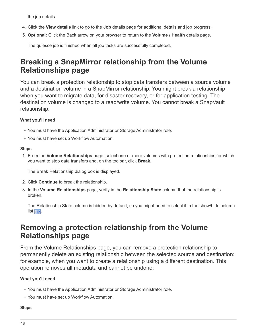the job details.

- 4. Click the **View details** link to go to the **Job** details page for additional details and job progress.
- 5. **Optional:** Click the Back arrow on your browser to return to the **Volume / Health** details page.

The quiesce job is finished when all job tasks are successfully completed.

## <span id="page-20-0"></span>**Breaking a SnapMirror relationship from the Volume Relationships page**

You can break a protection relationship to stop data transfers between a source volume and a destination volume in a SnapMirror relationship. You might break a relationship when you want to migrate data, for disaster recovery, or for application testing. The destination volume is changed to a read/write volume. You cannot break a SnapVault relationship.

### **What you'll need**

- You must have the Application Administrator or Storage Administrator role.
- You must have set up Workflow Automation.

#### **Steps**

1. From the **Volume Relationships** page, select one or more volumes with protection relationships for which you want to stop data transfers and, on the toolbar, click **Break**.

The Break Relationship dialog box is displayed.

- 2. Click **Continue** to break the relationship.
- 3. In the **Volume Relationships** page, verify in the **Relationship State** column that the relationship is broken.

The Relationship State column is hidden by default, so you might need to select it in the show/hide column list **FEE**.

## <span id="page-20-1"></span>**Removing a protection relationship from the Volume Relationships page**

From the Volume Relationships page, you can remove a protection relationship to permanently delete an existing relationship between the selected source and destination: for example, when you want to create a relationship using a different destination. This operation removes all metadata and cannot be undone.

### **What you'll need**

- You must have the Application Administrator or Storage Administrator role.
- You must have set up Workflow Automation.

#### **Steps**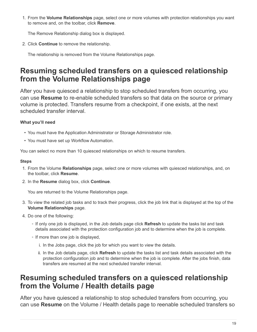1. From the **Volume Relationships** page, select one or more volumes with protection relationships you want to remove and, on the toolbar, click **Remove**.

The Remove Relationship dialog box is displayed.

2. Click **Continue** to remove the relationship.

The relationship is removed from the Volume Relationships page.

## <span id="page-21-0"></span>**Resuming scheduled transfers on a quiesced relationship from the Volume Relationships page**

After you have quiesced a relationship to stop scheduled transfers from occurring, you can use **Resume** to re-enable scheduled transfers so that data on the source or primary volume is protected. Transfers resume from a checkpoint, if one exists, at the next scheduled transfer interval.

## **What you'll need**

- You must have the Application Administrator or Storage Administrator role.
- You must have set up Workflow Automation.

You can select no more than 10 quiesced relationships on which to resume transfers.

### **Steps**

- 1. From the Volume **Relationships** page, select one or more volumes with quiesced relationships, and, on the toolbar, click **Resume**.
- 2. In the **Resume** dialog box, click **Continue**.

You are returned to the Volume Relationships page.

- 3. To view the related job tasks and to track their progress, click the job link that is displayed at the top of the **Volume Relationships** page.
- 4. Do one of the following:
	- If only one job is displayed, in the Job details page click **Refresh** to update the tasks list and task details associated with the protection configuration job and to determine when the job is complete.
	- If more than one job is displayed,
		- i. In the Jobs page, click the job for which you want to view the details.
		- ii. In the Job details page, click **Refresh** to update the tasks list and task details associated with the protection configuration job and to determine when the job is complete. After the jobs finish, data transfers are resumed at the next scheduled transfer interval.

## <span id="page-21-1"></span>**Resuming scheduled transfers on a quiesced relationship from the Volume / Health details page**

After you have quiesced a relationship to stop scheduled transfers from occurring, you can use **Resume** on the Volume / Health details page to reenable scheduled transfers so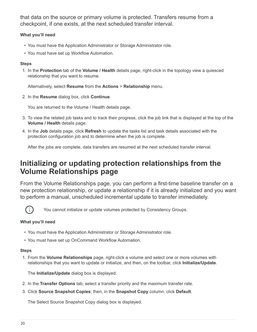that data on the source or primary volume is protected. Transfers resume from a checkpoint, if one exists, at the next scheduled transfer interval.

### **What you'll need**

- You must have the Application Administrator or Storage Administrator role.
- You must have set up Workflow Automation.

#### **Steps**

1. In the **Protection** tab of the **Volume / Health** details page, right-click in the topology view a quiesced relationship that you want to resume.

Alternatively, select **Resume** from the **Actions** > **Relationship** menu.

2. In the **Resume** dialog box, click **Continue**.

You are returned to the Volume / Health details page.

- 3. To view the related job tasks and to track their progress, click the job link that is displayed at the top of the **Volume / Health** details page.
- 4. In the **Job** details page, click **Refresh** to update the tasks list and task details associated with the protection configuration job and to determine when the job is complete.

After the jobs are complete, data transfers are resumed at the next scheduled transfer interval.

## <span id="page-22-0"></span>**Initializing or updating protection relationships from the Volume Relationships page**

From the Volume Relationships page, you can perform a first-time baseline transfer on a new protection relationship, or update a relationship if it is already initialized and you want to perform a manual, unscheduled incremental update to transfer immediately.



You cannot initialize or update volumes protected by Consistency Groups.

### **What you'll need**

- You must have the Application Administrator or Storage Administrator role.
- You must have set up OnCommand Workflow Automation.

#### **Steps**

1. From the **Volume Relationships** page, right-click a volume and select one or more volumes with relationships that you want to update or initialize, and then, on the toolbar, click **Initialize/Update**.

The **Initialize/Update** dialog box is displayed.

- 2. In the **Transfer Options** tab, select a transfer priority and the maximum transfer rate.
- 3. Click **Source Snapshot Copies**; then, in the **Snapshot Copy** column, click **Default**.

The Select Source Snapshot Copy dialog box is displayed.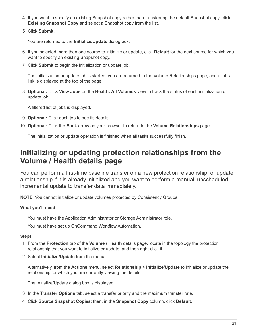- 4. If you want to specify an existing Snapshot copy rather than transferring the default Snapshot copy, click **Existing Snapshot Copy** and select a Snapshot copy from the list.
- 5. Click **Submit**.

You are returned to the **Initialize/Update** dialog box.

- 6. If you selected more than one source to initialize or update, click **Default** for the next source for which you want to specify an existing Snapshot copy.
- 7. Click **Submit** to begin the initialization or update job.

The initialization or update job is started, you are returned to the Volume Relationships page, and a jobs link is displayed at the top of the page.

8. **Optional:** Click **View Jobs** on the **Health: All Volumes** view to track the status of each initialization or update job.

A filtered list of jobs is displayed.

- 9. **Optional:** Click each job to see its details.
- 10. **Optional:** Click the **Back** arrow on your browser to return to the **Volume Relationships** page.

The initialization or update operation is finished when all tasks successfully finish.

## <span id="page-23-0"></span>**Initializing or updating protection relationships from the Volume / Health details page**

You can perform a first-time baseline transfer on a new protection relationship, or update a relationship if it is already initialized and you want to perform a manual, unscheduled incremental update to transfer data immediately.

**NOTE**: You cannot initialize or update volumes protected by Consistency Groups.

### **What you'll need**

- You must have the Application Administrator or Storage Administrator role.
- You must have set up OnCommand Workflow Automation.

#### **Steps**

- 1. From the **Protection** tab of the **Volume / Health** details page, locate in the topology the protection relationship that you want to initialize or update, and then right-click it.
- 2. Select **Initialize/Update** from the menu.

Alternatively, from the **Actions** menu, select **Relationship** > **Initialize/Update** to initialize or update the relationship for which you are currently viewing the details.

The Initialize/Update dialog box is displayed.

- 3. In the **Transfer Options** tab, select a transfer priority and the maximum transfer rate.
- 4. Click **Source Snapshot Copies**; then, in the **Snapshot Copy** column, click **Default**.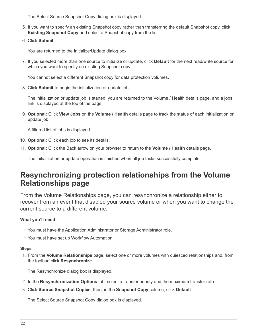The Select Source Snapshot Copy dialog box is displayed.

- 5. If you want to specify an existing Snapshot copy rather than transferring the default Snapshot copy, click **Existing Snapshot Copy** and select a Snapshot copy from the list.
- 6. Click **Submit**.

You are returned to the Initialize/Update dialog box.

7. If you selected more than one source to initialize or update, click **Default** for the next read/write source for which you want to specify an existing Snapshot copy.

You cannot select a different Snapshot copy for data protection volumes.

8. Click **Submit** to begin the initialization or update job.

The initialization or update job is started, you are returned to the Volume / Health details page, and a jobs link is displayed at the top of the page.

9. **Optional:** Click **View Jobs** on the **Volume / Health** details page to track the status of each initialization or update job.

A filtered list of jobs is displayed.

- 10. **Optional:** Click each job to see its details.
- 11. **Optional:** Click the Back arrow on your browser to return to the **Volume / Health** details page.

The initialization or update operation is finished when all job tasks successfully complete.

## <span id="page-24-0"></span>**Resynchronizing protection relationships from the Volume Relationships page**

From the Volume Relationships page, you can resynchronize a relationship either to recover from an event that disabled your source volume or when you want to change the current source to a different volume.

### **What you'll need**

- You must have the Application Administrator or Storage Administrator role.
- You must have set up Workflow Automation.

#### **Steps**

1. From the **Volume Relationships** page, select one or more volumes with quiesced relationships and, from the toolbar, click **Resynchronize**.

The Resynchronize dialog box is displayed.

- 2. In the **Resynchronization Options** tab, select a transfer priority and the maximum transfer rate.
- 3. Click **Source Snapshot Copies**; then, in the **Snapshot Copy** column, click **Default**.

The Select Source Snapshot Copy dialog box is displayed.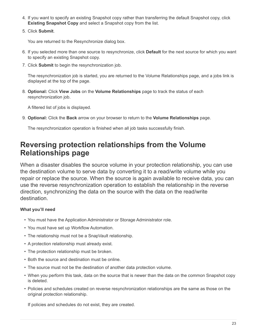- 4. If you want to specify an existing Snapshot copy rather than transferring the default Snapshot copy, click **Existing Snapshot Copy** and select a Snapshot copy from the list.
- 5. Click **Submit**.

You are returned to the Resynchronize dialog box.

- 6. If you selected more than one source to resynchronize, click **Default** for the next source for which you want to specify an existing Snapshot copy.
- 7. Click **Submit** to begin the resynchronization job.

The resynchronization job is started, you are returned to the Volume Relationships page, and a jobs link is displayed at the top of the page.

8. **Optional:** Click **View Jobs** on the **Volume Relationships** page to track the status of each resynchronization job.

A filtered list of jobs is displayed.

9. **Optional:** Click the **Back** arrow on your browser to return to the **Volume Relationships** page.

The resynchronization operation is finished when all job tasks successfully finish.

## <span id="page-25-0"></span>**Reversing protection relationships from the Volume Relationships page**

When a disaster disables the source volume in your protection relationship, you can use the destination volume to serve data by converting it to a read/write volume while you repair or replace the source. When the source is again available to receive data, you can use the reverse resynchronization operation to establish the relationship in the reverse direction, synchronizing the data on the source with the data on the read/write destination.

#### **What you'll need**

- You must have the Application Administrator or Storage Administrator role.
- You must have set up Workflow Automation.
- The relationship must not be a SnapVault relationship.
- A protection relationship must already exist.
- The protection relationship must be broken.
- Both the source and destination must be online.
- The source must not be the destination of another data protection volume.
- When you perform this task, data on the source that is newer than the data on the common Snapshot copy is deleted.
- Policies and schedules created on reverse resynchronization relationships are the same as those on the original protection relationship.

If policies and schedules do not exist, they are created.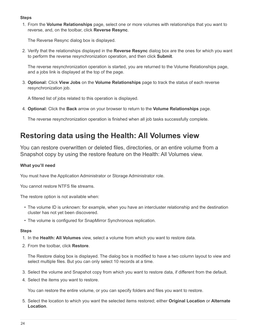#### **Steps**

1. From the **Volume Relationships** page, select one or more volumes with relationships that you want to reverse, and, on the toolbar, click **Reverse Resync**.

The Reverse Resync dialog box is displayed.

2. Verify that the relationships displayed in the **Reverse Resync** dialog box are the ones for which you want to perform the reverse resynchronization operation, and then click **Submit**.

The reverse resynchronization operation is started, you are returned to the Volume Relationships page, and a jobs link is displayed at the top of the page.

3. **Optional:** Click **View Jobs** on the **Volume Relationships** page to track the status of each reverse resynchronization job.

A filtered list of jobs related to this operation is displayed.

4. **Optional:** Click the **Back** arrow on your browser to return to the **Volume Relationships** page.

The reverse resynchronization operation is finished when all job tasks successfully complete.

## <span id="page-26-0"></span>**Restoring data using the Health: All Volumes view**

You can restore overwritten or deleted files, directories, or an entire volume from a Snapshot copy by using the restore feature on the Health: All Volumes view.

### **What you'll need**

You must have the Application Administrator or Storage Administrator role.

You cannot restore NTFS file streams.

The restore option is not available when:

- The volume ID is unknown: for example, when you have an intercluster relationship and the destination cluster has not yet been discovered.
- The volume is configured for SnapMirror Synchronous replication.

#### **Steps**

- 1. In the **Health: All Volumes** view, select a volume from which you want to restore data.
- 2. From the toolbar, click **Restore**.

The Restore dialog box is displayed. The dialog box is modified to have a two column layout to view and select multiple files. But you can only select 10 records at a time.

- 3. Select the volume and Snapshot copy from which you want to restore data, if different from the default.
- 4. Select the items you want to restore.

You can restore the entire volume, or you can specify folders and files you want to restore.

5. Select the location to which you want the selected items restored; either **Original Location** or **Alternate Location**.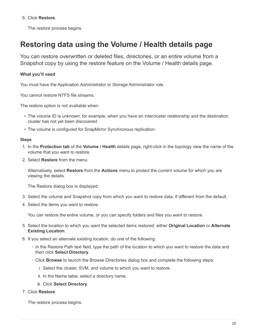6. Click **Restore**.

The restore process begins.

## <span id="page-27-0"></span>**Restoring data using the Volume / Health details page**

You can restore overwritten or deleted files, directories, or an entire volume from a Snapshot copy by using the restore feature on the Volume / Health details page.

### **What you'll need**

You must have the Application Administrator or Storage Administrator role.

You cannot restore NTFS file streams.

The restore option is not available when:

- The volume ID is unknown: for example, when you have an intercluster relationship and the destination cluster has not yet been discovered.
- The volume is configured for SnapMirror Synchronous replication.

#### **Steps**

- 1. In the **Protection tab** of the **Volume / Health** details page, right-click in the topology view the name of the volume that you want to restore.
- 2. Select **Restore** from the menu.

Alternatively, select **Restore** from the **Actions** menu to protect the current volume for which you are viewing the details.

The Restore dialog box is displayed.

- 3. Select the volume and Snapshot copy from which you want to restore data, if different from the default.
- 4. Select the items you want to restore.

You can restore the entire volume, or you can specify folders and files you want to restore.

- 5. Select the location to which you want the selected items restored: either **Original Location** or **Alternate Existing Location**.
- 6. If you select an alternate existing location, do one of the following:
	- In the Restore Path text field, type the path of the location to which you want to restore the data and then click **Select Directory**.
	- Click **Browse** to launch the Browse Directories dialog box and complete the following steps:
		- i. Select the cluster, SVM, and volume to which you want to restore.
		- ii. In the Name table, select a directory name.
		- iii. Click **Select Directory**.
- 7. Click **Restore**.

The restore process begins.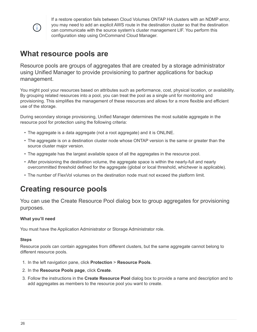

If a restore operation fails between Cloud Volumes ONTAP HA clusters with an NDMP error, you may need to add an explicit AWS route in the destination cluster so that the destination can communicate with the source system's cluster management LIF. You perform this configuration step using OnCommand Cloud Manager.

## <span id="page-28-0"></span>**What resource pools are**

Resource pools are groups of aggregates that are created by a storage administrator using Unified Manager to provide provisioning to partner applications for backup management.

You might pool your resources based on attributes such as performance, cost, physical location, or availability. By grouping related resources into a pool, you can treat the pool as a single unit for monitoring and provisioning. This simplifies the management of these resources and allows for a more flexible and efficient use of the storage.

During secondary storage provisioning, Unified Manager determines the most suitable aggregate in the resource pool for protection using the following criteria:

- The aggregate is a data aggregate (not a root aggregate) and it is ONLINE.
- The aggregate is on a destination cluster node whose ONTAP version is the same or greater than the source cluster major version.
- The aggregate has the largest available space of all the aggregates in the resource pool.
- After provisioning the destination volume, the aggregate space is within the nearly-full and nearly overcommitted threshold defined for the aggregate (global or local threshold, whichever is applicable).
- The number of FlexVol volumes on the destination node must not exceed the platform limit.

## <span id="page-28-1"></span>**Creating resource pools**

You can use the Create Resource Pool dialog box to group aggregates for provisioning purposes.

### **What you'll need**

You must have the Application Administrator or Storage Administrator role.

### **Steps**

Resource pools can contain aggregates from different clusters, but the same aggregate cannot belong to different resource pools.

- 1. In the left navigation pane, click **Protection** > **Resource Pools**.
- 2. In the **Resource Pools page**, click **Create**.
- 3. Follow the instructions in the **Create Resource Pool** dialog box to provide a name and description and to add aggregates as members to the resource pool you want to create.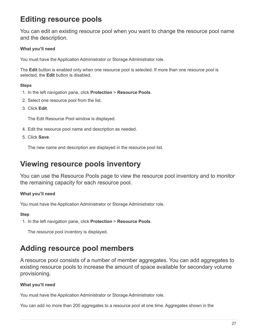## <span id="page-29-0"></span>**Editing resource pools**

You can edit an existing resource pool when you want to change the resource pool name and the description.

### **What you'll need**

You must have the Application Administrator or Storage Administrator role.

The **Edit** button is enabled only when one resource pool is selected. If more than one resource pool is selected, the **Edit** button is disabled.

### **Steps**

- 1. In the left navigation pane, click **Protection** > **Resource Pools**.
- 2. Select one resource pool from the list.
- 3. Click **Edit**.

The Edit Resource Pool window is displayed.

- 4. Edit the resource pool name and description as needed.
- 5. Click **Save**.

The new name and description are displayed in the resource pool list.

## <span id="page-29-1"></span>**Viewing resource pools inventory**

You can use the Resource Pools page to view the resource pool inventory and to monitor the remaining capacity for each resource pool.

### **What you'll need**

You must have the Application Administrator or Storage Administrator role.

### **Step**

1. In the left navigation pane, click **Protection** > **Resource Pools**.

The resource pool inventory is displayed.

## <span id="page-29-2"></span>**Adding resource pool members**

A resource pool consists of a number of member aggregates. You can add aggregates to existing resource pools to increase the amount of space available for secondary volume provisioning.

### **What you'll need**

You must have the Application Administrator or Storage Administrator role.

You can add no more than 200 aggregates to a resource pool at one time. Aggregates shown in the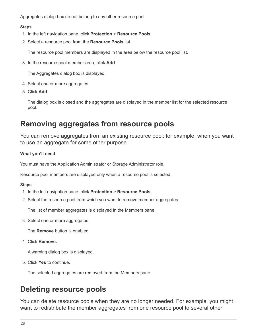Aggregates dialog box do not belong to any other resource pool.

#### **Steps**

- 1. In the left navigation pane, click **Protection** > **Resource Pools**.
- 2. Select a resource pool from the **Resource Pools** list.

The resource pool members are displayed in the area below the resource pool list.

3. In the resource pool member area, click **Add**.

The Aggregates dialog box is displayed.

- 4. Select one or more aggregates.
- 5. Click **Add**.

The dialog box is closed and the aggregates are displayed in the member list for the selected resource pool.

## <span id="page-30-0"></span>**Removing aggregates from resource pools**

You can remove aggregates from an existing resource pool: for example, when you want to use an aggregate for some other purpose.

### **What you'll need**

You must have the Application Administrator or Storage Administrator role.

Resource pool members are displayed only when a resource pool is selected.

#### **Steps**

- 1. In the left navigation pane, click **Protection** > **Resource Pools**.
- 2. Select the resource pool from which you want to remove member aggregates.

The list of member aggregates is displayed in the Members pane.

3. Select one or more aggregates.

The **Remove** button is enabled.

4. Click **Remove.**

A warning dialog box is displayed.

5. Click **Yes** to continue.

The selected aggregates are removed from the Members pane.

## <span id="page-30-1"></span>**Deleting resource pools**

You can delete resource pools when they are no longer needed. For example, you might want to redistribute the member aggregates from one resource pool to several other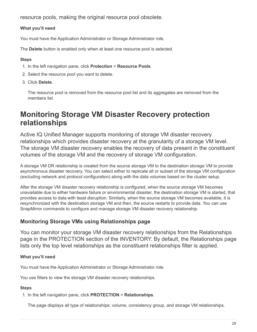resource pools, making the original resource pool obsolete.

### **What you'll need**

You must have the Application Administrator or Storage Administrator role.

The **Delete** button is enabled only when at least one resource pool is selected.

#### **Steps**

- 1. In the left navigation pane, click **Protection** > **Resource Pools**.
- 2. Select the resource pool you want to delete.
- 3. Click **Delete**.

The resource pool is removed from the resource pool list and its aggregates are removed from the members list.

## <span id="page-31-0"></span>**Monitoring Storage VM Disaster Recovery protection relationships**

Active IQ Unified Manager supports monitoring of storage VM disaster recovery relationships which provides disaster recovery at the granularity of a storage VM level. The storage VM disaster recovery enables the recovery of data present in the constituent volumes of the storage VM and the recovery of storage VM configuration.

A storage VM DR relationship is created from the source storage VM to the destination storage VM to provide asynchronous disaster recovery. You can select either to replicate all or subset of the storage VM configuration (excluding network and protocol configuration) along with the data volumes based on the cluster setup.

After the storage VM disaster recovery relationship is configured, when the source storage VM becomes unavailable due to either hardware failure or environmental disaster, the destination storage VM is started, that provides access to data with least disruption. Similarly, when the source storage VM becomes available, it is resynchronized with the destination storage VM and then, the source restarts to provide data. You can use SnapMirror commands to configure and manage storage VM disaster recovery relationship.

### **Monitoring Storage VMs using Relationships page**

You can monitor your storage VM disaster recovery relationships from the Relationships page in the PROTECTION section of the INVENTORY. By default, the Relationships page lists only the top level relationships as the constituent relationships filter is applied.

### **What you'll need**

You must have the Application Administrator or Storage Administrator role.

You use filters to view the storage VM disaster recovery relationships.

### **Steps**

1. In the left navigation pane, click **PROTECTION** > **Relationships**.

The page displays all type of relationships: volume, consistency group, and storage VM relationships.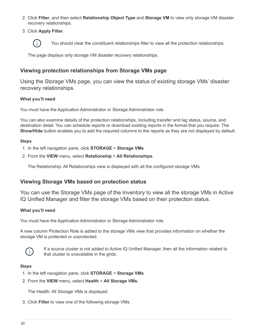- 2. Click **Filter**, and then select **Relationship Object Type** and **Storage VM** to view only storage VM disaster recovery relationships.
- 3. Click **Apply Filter**.



You should clear the constituent relationships filter to view all the protection relationships.

The page displays only storage VM disaster recovery relationships.

### **Viewing protection relationships from Storage VMs page**

Using the Storage VMs page, you can view the status of existing storage VMs' disaster recovery relationships.

#### **What you'll need**

You must have the Application Administrator or Storage Administrator role.

You can also examine details of the protection relationships, including transfer and lag status, source, and destination detail. You can schedule reports or download existing reports in the format that you require. The **Show/Hide** button enables you to add the required columns to the reports as they are not displayed by default.

#### **Steps**

- 1. In the left navigation pane, click **STORAGE** > **Storage VMs**.
- 2. From the **VIEW** menu, select **Relationship** > **All Relationships**.

The Relationship: All Relationships view is displayed with all the configured storage VMs.

### **Viewing Storage VMs based on protection status**

You can use the Storage VMs page of the Inventory to view all the storage VMs in Active IQ Unified Manager and filter the storage VMs based on their protection status.

#### **What you'll need**

You must have the Application Administrator or Storage Administrator role.

A new column Protection Role is added to the storage VMs view that provides information on whether the storage VM is protected or unprotected.



If a source cluster is not added to Active IQ Unified Manager, then all the information related to that cluster is unavailable in the grids.

#### **Steps**

- 1. In the left navigation pane, click **STORAGE** > **Storage VMs**.
- 2. From the **VIEW** menu, select **Health** > **All Storage VMs**.

The Health: All Storage VMs is displayed.

3. Click **Filter** to view one of the following storage VMs.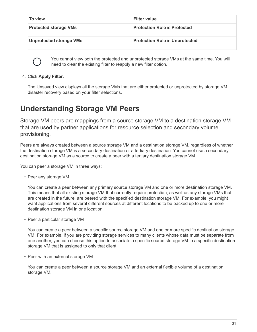| To view                        | <b>Filter value</b>                   |
|--------------------------------|---------------------------------------|
| <b>Protected storage VMs</b>   | <b>Protection Role is Protected</b>   |
| <b>Unprotected storage VMs</b> | <b>Protection Role is Unprotected</b> |



You cannot view both the protected and unprotected storage VMs at the same time. You will need to clear the existing filter to reapply a new filter option.

4. Click **Apply Filter**.

The Unsaved view displays all the storage VMs that are either protected or unprotected by storage VM disaster recovery based on your filter selections.

## <span id="page-33-0"></span>**Understanding Storage VM Peers**

Storage VM peers are mappings from a source storage VM to a destination storage VM that are used by partner applications for resource selection and secondary volume provisioning.

Peers are always created between a source storage VM and a destination storage VM, regardless of whether the destination storage VM is a secondary destination or a tertiary destination. You cannot use a secondary destination storage VM as a source to create a peer with a tertiary destination storage VM.

You can peer a storage VM in three ways:

• Peer any storage VM

You can create a peer between any primary source storage VM and one or more destination storage VM. This means that all existing storage VM that currently require protection, as well as any storage VMs that are created in the future, are peered with the specified destination storage VM. For example, you might want applications from several different sources at different locations to be backed up to one or more destination storage VM in one location.

• Peer a particular storage VM

You can create a peer between a specific source storage VM and one or more specific destination storage VM. For example, if you are providing storage services to many clients whose data must be separate from one another, you can choose this option to associate a specific source storage VM to a specific destination storage VM that is assigned to only that client.

• Peer with an external storage VM

You can create a peer between a source storage VM and an external flexible volume of a destination storage VM.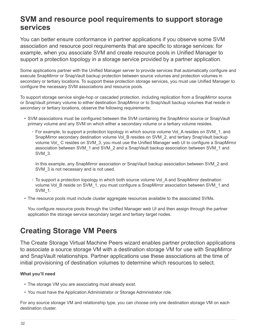## <span id="page-34-0"></span>**SVM and resource pool requirements to support storage services**

You can better ensure conformance in partner applications if you observe some SVM association and resource pool requirements that are specific to storage services: for example, when you associate SVM and create resource pools in Unified Manager to support a protection topology in a storage service provided by a partner application.

Some applications partner with the Unified Manager server to provide services that automatically configure and execute SnapMirror or SnapVault backup protection between source volumes and protection volumes in secondary or tertiary locations. To support these protection storage services, you must use Unified Manager to configure the necessary SVM associations and resource pools.

To support storage service single-hop or cascaded protection, including replication from a SnapMirror source or SnapVault primary volume to either destination SnapMirror or to SnapVault backup volumes that reside in secondary or tertiary locations, observe the following requirements:

- SVM associations must be configured between the SVM containing the SnapMirror source or SnapVault primary volume and any SVM on which either a secondary volume or a tertiary volume resides.
	- For example, to support a protection topology in which source volume Vol\_A resides on SVM\_1, and SnapMirror secondary destination volume Vol B resides on SVM 2, and tertiary SnapVault backup volume Vol\_ C resides on SVM\_3, you must use the Unified Manager web UI to configure a SnapMirror association between SVM\_1 and SVM\_2 and a SnapVault backup association between SVM\_1 and SVM\_3.

In this example, any SnapMirror association or SnapVault backup association between SVM\_2 and SVM 3 is not necessary and is not used.

- To support a protection topology in which both source volume Vol\_A and SnapMirror destination volume Vol\_B reside on SVM\_1, you must configure a SnapMirror association between SVM\_1 and SVM\_1.
- The resource pools must include cluster aggregate resources available to the associated SVMs.

You configure resource pools through the Unified Manager web UI and then assign through the partner application the storage service secondary target and tertiary target nodes.

## <span id="page-34-1"></span>**Creating Storage VM Peers**

The Create Storage Virtual Machine Peers wizard enables partner protection applications to associate a source storage VM with a destination storage VM for use with SnapMirror and SnapVault relationships. Partner applications use these associations at the time of initial provisioning of destination volumes to determine which resources to select.

### **What you'll need**

- The storage VM you are associating must already exist.
- You must have the Application Administrator or Storage Administrator role.

For any source storage VM and relationship type, you can choose only one destination storage VM on each destination cluster.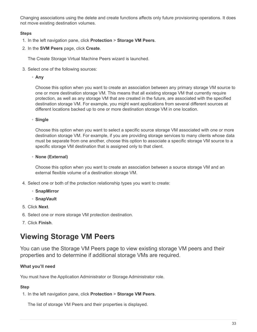Changing associations using the delete and create functions affects only future provisioning operations. It does not move existing destination volumes.

### **Steps**

- 1. In the left navigation pane, click **Protection** > **Storage VM Peers**.
- 2. In the **SVM Peers** page, click **Create**.

The Create Storage Virtual Machine Peers wizard is launched.

3. Select one of the following sources:

◦ **Any**

Choose this option when you want to create an association between any primary storage VM source to one or more destination storage VM. This means that all existing storage VM that currently require protection, as well as any storage VM that are created in the future, are associated with the specified destination storage VM. For example, you might want applications from several different sources at different locations backed up to one or more destination storage VM in one location.

◦ **Single**

Choose this option when you want to select a specific source storage VM associated with one or more destination storage VM. For example, if you are providing storage services to many clients whose data must be separate from one another, choose this option to associate a specific storage VM source to a specific storage VM destination that is assigned only to that client.

◦ **None (External)**

Choose this option when you want to create an association between a source storage VM and an external flexible volume of a destination storage VM.

- 4. Select one or both of the protection relationship types you want to create:
	- **SnapMirror**
	- **SnapVault**
- 5. Click **Next**.
- 6. Select one or more storage VM protection destination.
- 7. Click **Finish**.

## <span id="page-35-0"></span>**Viewing Storage VM Peers**

You can use the Storage VM Peers page to view existing storage VM peers and their properties and to determine if additional storage VMs are required.

### **What you'll need**

You must have the Application Administrator or Storage Administrator role.

### **Step**

1. In the left navigation pane, click **Protection** > **Storage VM Peers**.

The list of storage VM Peers and their properties is displayed.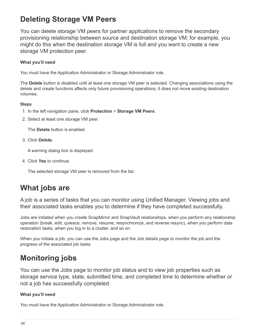# **Deleting Storage VM Peers**

You can delete storage VM peers for partner applications to remove the secondary provisioning relationship between source and destination storage VM; for example, you might do this when the destination storage VM is full and you want to create a new storage VM protection peer.

## **What you'll need**

You must have the Application Administrator or Storage Administrator role.

The **Delete** button is disabled until at least one storage VM peer is selected. Changing associations using the delete and create functions affects only future provisioning operations; it does not move existing destination volumes.

### **Steps**

- 1. In the left navigation pane, click **Protection** > **Storage VM Peers**.
- 2. Select at least one storage VM peer.

The **Delete** button is enabled.

3. Click **Delete.**

A warning dialog box is displayed.

4. Click **Yes** to continue.

The selected storage VM peer is removed from the list.

# **What jobs are**

A job is a series of tasks that you can monitor using Unified Manager. Viewing jobs and their associated tasks enables you to determine if they have completed successfully.

Jobs are initiated when you create SnapMirror and SnapVault relationships, when you perform any relationship operation (break, edit, quiesce, remove, resume, resynchronize, and reverse resync), when you perform data restoration tasks, when you log in to a cluster, and so on.

When you initiate a job, you can use the Jobs page and the Job details page to monitor the job and the progress of the associated job tasks.

# **Monitoring jobs**

You can use the Jobs page to monitor job status and to view job properties such as storage service type, state, submitted time, and completed time to determine whether or not a job has successfully completed.

## **What you'll need**

You must have the Application Administrator or Storage Administrator role.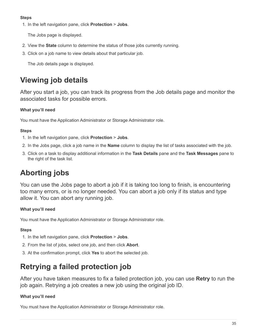## **Steps**

1. In the left navigation pane, click **Protection** > **Jobs**.

The Jobs page is displayed.

- 2. View the **State** column to determine the status of those jobs currently running.
- 3. Click on a job name to view details about that particular job.

The Job details page is displayed.

# **Viewing job details**

After you start a job, you can track its progress from the Job details page and monitor the associated tasks for possible errors.

# **What you'll need**

You must have the Application Administrator or Storage Administrator role.

## **Steps**

- 1. In the left navigation pane, click **Protection** > **Jobs**.
- 2. In the Jobs page, click a job name in the **Name** column to display the list of tasks associated with the job.
- 3. Click on a task to display additional information in the **Task Details** pane and the **Task Messages** pane to the right of the task list.

# **Aborting jobs**

You can use the Jobs page to abort a job if it is taking too long to finish, is encountering too many errors, or is no longer needed. You can abort a job only if its status and type allow it. You can abort any running job.

# **What you'll need**

You must have the Application Administrator or Storage Administrator role.

# **Steps**

- 1. In the left navigation pane, click **Protection** > **Jobs**.
- 2. From the list of jobs, select one job, and then click **Abort**.
- 3. At the confirmation prompt, click **Yes** to abort the selected job.

# **Retrying a failed protection job**

After you have taken measures to fix a failed protection job, you can use **Retry** to run the job again. Retrying a job creates a new job using the original job ID.

# **What you'll need**

You must have the Application Administrator or Storage Administrator role.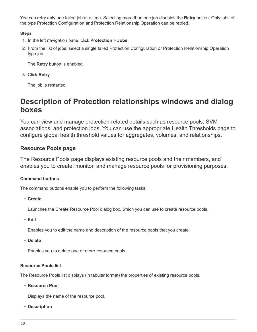You can retry only one failed job at a time. Selecting more than one job disables the **Retry** button. Only jobs of the type Protection Configuration and Protection Relationship Operation can be retried.

## **Steps**

- 1. In the left navigation pane, click **Protection** > **Jobs**.
- 2. From the list of jobs, select a single failed Protection Configuration or Protection Relationship Operation type job.

The **Retry** button is enabled.

3. Click **Retry**.

The job is restarted.

# **Description of Protection relationships windows and dialog boxes**

You can view and manage protection-related details such as resource pools, SVM associations, and protection jobs. You can use the appropriate Health Thresholds page to configure global health threshold values for aggregates, volumes, and relationships.

## **Resource Pools page**

The Resource Pools page displays existing resource pools and their members, and enables you to create, monitor, and manage resource pools for provisioning purposes.

### **Command buttons**

The command buttons enable you to perform the following tasks:

• **Create**

Launches the Create Resource Pool dialog box, which you can use to create resource pools.

• **Edit**

Enables you to edit the name and description of the resource pools that you create.

• **Delete**

Enables you to delete one or more resource pools.

### **Resource Pools list**

The Resource Pools list displays (in tabular format) the properties of existing resource pools.

• **Resource Pool**

Displays the name of the resource pool.

• **Description**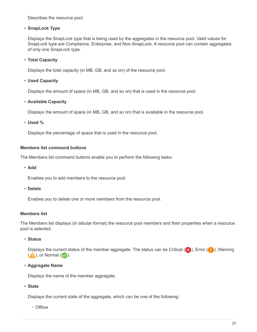Describes the resource pool.

#### • **SnapLock Type**

Displays the SnapLock type that is being used by the aggregates in the resource pool. Valid values for SnapLock type are Compliance, Enterprise, and Non-SnapLock. A resource pool can contain aggregates of only one SnapLock type.

#### • **Total Capacity**

Displays the total capacity (in MB, GB, and so on) of the resource pool.

#### • **Used Capacity**

Displays the amount of space (in MB, GB, and so on) that is used in the resource pool.

#### • **Available Capacity**

Displays the amount of space (in MB, GB, and so on) that is available in the resource pool.

• **Used %**

Displays the percentage of space that is used in the resource pool.

#### **Members list command buttons**

The Members list command buttons enable you to perform the following tasks:

• **Add**

Enables you to add members to the resource pool.

• **Delete**

Enables you to delete one or more members from the resource pool.

#### **Members list**

The Members list displays (in tabular format) the resource pool members and their properties when a resource pool is selected.

• **Status**

Displays the current status of the member aggregate. The status can be Critical ( $\blacktriangleright$ ), Error ( $\blacktriangleright$ ), Warning  $($  ), or Normal  $($   $\vee$  ).

• **Aggregate Name**

Displays the name of the member aggregate.

• **State**

Displays the current state of the aggregate, which can be one of the following:

◦ Offline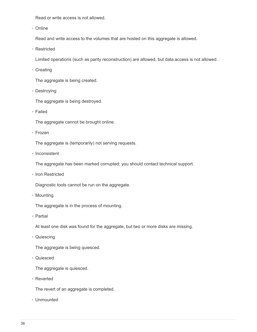Read or write access is not allowed.

◦ Online

Read and write access to the volumes that are hosted on this aggregate is allowed.

◦ Restricted

Limited operations (such as parity reconstruction) are allowed, but data access is not allowed.

◦ Creating

The aggregate is being created.

◦ Destroying

The aggregate is being destroyed.

◦ Failed

The aggregate cannot be brought online.

◦ Frozen

The aggregate is (temporarily) not serving requests.

◦ Inconsistent

The aggregate has been marked corrupted; you should contact technical support.

◦ Iron Restricted

Diagnostic tools cannot be run on the aggregate.

◦ Mounting

The aggregate is in the process of mounting.

◦ Partial

At least one disk was found for the aggregate, but two or more disks are missing.

◦ Quiescing

The aggregate is being quiesced.

◦ Quiesced

The aggregate is quiesced.

◦ Reverted

The revert of an aggregate is completed.

◦ Unmounted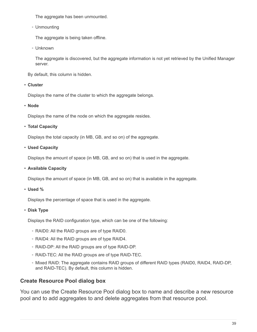The aggregate has been unmounted.

◦ Unmounting

The aggregate is being taken offline.

◦ Unknown

The aggregate is discovered, but the aggregate information is not yet retrieved by the Unified Manager server.

By default, this column is hidden.

• **Cluster**

Displays the name of the cluster to which the aggregate belongs.

• **Node**

Displays the name of the node on which the aggregate resides.

## • **Total Capacity**

Displays the total capacity (in MB, GB, and so on) of the aggregate.

• **Used Capacity**

Displays the amount of space (in MB, GB, and so on) that is used in the aggregate.

• **Available Capacity**

Displays the amount of space (in MB, GB, and so on) that is available in the aggregate.

• **Used %**

Displays the percentage of space that is used in the aggregate.

• **Disk Type**

Displays the RAID configuration type, which can be one of the following:

- RAID0: All the RAID groups are of type RAID0.
- RAID4: All the RAID groups are of type RAID4.
- RAID-DP: All the RAID groups are of type RAID-DP.
- RAID-TEC: All the RAID groups are of type RAID-TEC.
- Mixed RAID: The aggregate contains RAID groups of different RAID types (RAID0, RAID4, RAID-DP, and RAID-TEC). By default, this column is hidden.

# **Create Resource Pool dialog box**

You can use the Create Resource Pool dialog box to name and describe a new resource pool and to add aggregates to and delete aggregates from that resource pool.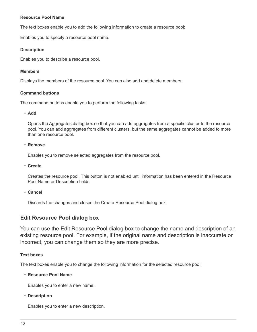#### **Resource Pool Name**

The text boxes enable you to add the following information to create a resource pool:

Enables you to specify a resource pool name.

#### **Description**

Enables you to describe a resource pool.

#### **Members**

Displays the members of the resource pool. You can also add and delete members.

### **Command buttons**

The command buttons enable you to perform the following tasks:

#### • **Add**

Opens the Aggregates dialog box so that you can add aggregates from a specific cluster to the resource pool. You can add aggregates from different clusters, but the same aggregates cannot be added to more than one resource pool.

#### • **Remove**

Enables you to remove selected aggregates from the resource pool.

• **Create**

Creates the resource pool. This button is not enabled until information has been entered in the Resource Pool Name or Description fields.

#### • **Cancel**

Discards the changes and closes the Create Resource Pool dialog box.

# **Edit Resource Pool dialog box**

You can use the Edit Resource Pool dialog box to change the name and description of an existing resource pool. For example, if the original name and description is inaccurate or incorrect, you can change them so they are more precise.

### **Text boxes**

The text boxes enable you to change the following information for the selected resource pool:

#### • **Resource Pool Name**

Enables you to enter a new name.

#### • **Description**

Enables you to enter a new description.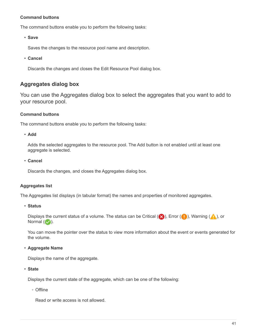### **Command buttons**

The command buttons enable you to perform the following tasks:

• **Save**

Saves the changes to the resource pool name and description.

• **Cancel**

Discards the changes and closes the Edit Resource Pool dialog box.

# **Aggregates dialog box**

You can use the Aggregates dialog box to select the aggregates that you want to add to your resource pool.

#### **Command buttons**

The command buttons enable you to perform the following tasks:

• **Add**

Adds the selected aggregates to the resource pool. The Add button is not enabled until at least one aggregate is selected.

• **Cancel**

Discards the changes, and closes the Aggregates dialog box.

#### **Aggregates list**

The Aggregates list displays (in tabular format) the names and properties of monitored aggregates.

#### • **Status**

Displays the current status of a volume. The status can be Critical ( $\blacktriangleright$ ), Error ( $\blacktriangleright$ ), Warning ( $\blacktriangle$ ), or Normal  $(\vee)$ .

You can move the pointer over the status to view more information about the event or events generated for the volume.

• **Aggregate Name**

Displays the name of the aggregate.

• **State**

Displays the current state of the aggregate, which can be one of the following:

◦ Offline

Read or write access is not allowed.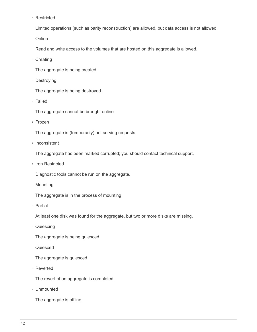◦ Restricted

Limited operations (such as parity reconstruction) are allowed, but data access is not allowed.

◦ Online

Read and write access to the volumes that are hosted on this aggregate is allowed.

◦ Creating

The aggregate is being created.

◦ Destroying

The aggregate is being destroyed.

◦ Failed

The aggregate cannot be brought online.

◦ Frozen

The aggregate is (temporarily) not serving requests.

◦ Inconsistent

The aggregate has been marked corrupted; you should contact technical support.

◦ Iron Restricted

Diagnostic tools cannot be run on the aggregate.

◦ Mounting

The aggregate is in the process of mounting.

◦ Partial

At least one disk was found for the aggregate, but two or more disks are missing.

◦ Quiescing

The aggregate is being quiesced.

◦ Quiesced

The aggregate is quiesced.

◦ Reverted

The revert of an aggregate is completed.

◦ Unmounted

The aggregate is offline.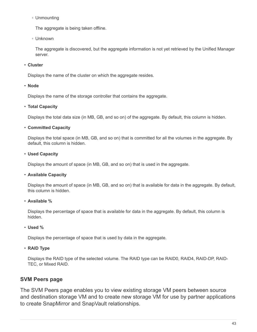◦ Unmounting

The aggregate is being taken offline.

◦ Unknown

The aggregate is discovered, but the aggregate information is not yet retrieved by the Unified Manager server.

#### • **Cluster**

Displays the name of the cluster on which the aggregate resides.

#### • **Node**

Displays the name of the storage controller that contains the aggregate.

#### • **Total Capacity**

Displays the total data size (in MB, GB, and so on) of the aggregate. By default, this column is hidden.

### • **Committed Capacity**

Displays the total space (in MB, GB, and so on) that is committed for all the volumes in the aggregate. By default, this column is hidden.

### • **Used Capacity**

Displays the amount of space (in MB, GB, and so on) that is used in the aggregate.

### • **Available Capacity**

Displays the amount of space (in MB, GB, and so on) that is available for data in the aggregate. By default, this column is hidden.

• **Available %**

Displays the percentage of space that is available for data in the aggregate. By default, this column is hidden.

### • **Used %**

Displays the percentage of space that is used by data in the aggregate.

### • **RAID Type**

Displays the RAID type of the selected volume. The RAID type can be RAID0, RAID4, RAID-DP, RAID-TEC, or Mixed RAID.

# **SVM Peers page**

The SVM Peers page enables you to view existing storage VM peers between source and destination storage VM and to create new storage VM for use by partner applications to create SnapMirror and SnapVault relationships.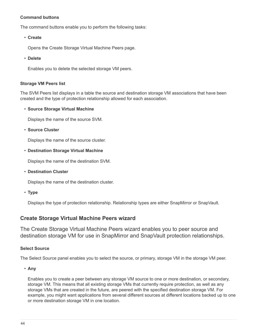### **Command buttons**

The command buttons enable you to perform the following tasks:

• **Create**

Opens the Create Storage Virtual Machine Peers page.

• **Delete**

Enables you to delete the selected storage VM peers.

#### **Storage VM Peers list**

The SVM Peers list displays in a table the source and destination storage VM associations that have been created and the type of protection relationship allowed for each association.

#### • **Source Storage Virtual Machine**

Displays the name of the source SVM.

• **Source Cluster**

Displays the name of the source cluster.

#### • **Destination Storage Virtual Machine**

Displays the name of the destination SVM.

• **Destination Cluster**

Displays the name of the destination cluster.

• **Type**

Displays the type of protection relationship. Relationship types are either SnapMirror or SnapVault.

## **Create Storage Virtual Machine Peers wizard**

The Create Storage Virtual Machine Peers wizard enables you to peer source and destination storage VM for use in SnapMirror and SnapVault protection relationships.

### **Select Source**

The Select Source panel enables you to select the source, or primary, storage VM in the storage VM peer.

• **Any**

Enables you to create a peer between any storage VM source to one or more destination, or secondary, storage VM. This means that all existing storage VMs that currently require protection, as well as any storage VMs that are created in the future, are peered with the specified destination storage VM. For example, you might want applications from several different sources at different locations backed up to one or more destination storage VM in one location.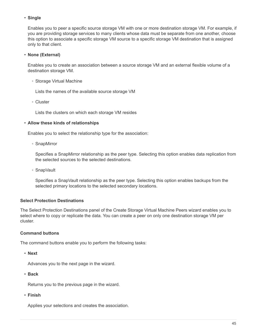### • **Single**

Enables you to peer a specific source storage VM with one or more destination storage VM. For example, if you are providing storage services to many clients whose data must be separate from one another, choose this option to associate a specific storage VM source to a specific storage VM destination that is assigned only to that client.

## • **None (External)**

Enables you to create an association between a source storage VM and an external flexible volume of a destination storage VM.

◦ Storage Virtual Machine

Lists the names of the available source storage VM

◦ Cluster

Lists the clusters on which each storage VM resides

### • **Allow these kinds of relationships**

Enables you to select the relationship type for the association:

◦ SnapMirror

Specifies a SnapMirror relationship as the peer type. Selecting this option enables data replication from the selected sources to the selected destinations.

◦ SnapVault

Specifies a SnapVault relationship as the peer type. Selecting this option enables backups from the selected primary locations to the selected secondary locations.

## **Select Protection Destinations**

The Select Protection Destinations panel of the Create Storage Virtual Machine Peers wizard enables you to select where to copy or replicate the data. You can create a peer on only one destination storage VM per cluster.

### **Command buttons**

The command buttons enable you to perform the following tasks:

• **Next**

Advances you to the next page in the wizard.

• **Back**

Returns you to the previous page in the wizard.

• **Finish**

Applies your selections and creates the association.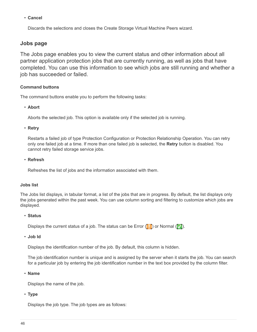• **Cancel**

Discards the selections and closes the Create Storage Virtual Machine Peers wizard.

# **Jobs page**

The Jobs page enables you to view the current status and other information about all partner application protection jobs that are currently running, as well as jobs that have completed. You can use this information to see which jobs are still running and whether a job has succeeded or failed.

#### **Command buttons**

The command buttons enable you to perform the following tasks:

#### • **Abort**

Aborts the selected job. This option is available only if the selected job is running.

#### • **Retry**

Restarts a failed job of type Protection Configuration or Protection Relationship Operation. You can retry only one failed job at a time. If more than one failed job is selected, the **Retry** button is disabled. You cannot retry failed storage service jobs.

#### • **Refresh**

Refreshes the list of jobs and the information associated with them.

#### **Jobs list**

The Jobs list displays, in tabular format, a list of the jobs that are in progress. By default, the list displays only the jobs generated within the past week. You can use column sorting and filtering to customize which jobs are displayed.

#### • **Status**

Displays the current status of a job. The status can be Error  $(\blacksquare)$  or Normal  $(\blacksquare)$ .

• **Job Id**

Displays the identification number of the job. By default, this column is hidden.

The job identification number is unique and is assigned by the server when it starts the job. You can search for a particular job by entering the job identification number in the text box provided by the column filter.

• **Name**

Displays the name of the job.

• **Type**

Displays the job type. The job types are as follows: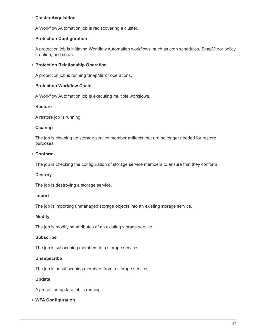#### ◦ **Cluster Acquisition**

A Workflow Automation job is rediscovering a cluster.

#### ◦ **Protection Configuration**

A protection job is initiating Workflow Automation workflows, such as cron schedules, SnapMirror policy creation, and so on.

#### ◦ **Protection Relationship Operation**

A protection job is running SnapMirror operations.

#### ◦ **Protection Workflow Chain**

A Workflow Automation job is executing multiple workflows.

#### ◦ **Restore**

A restore job is running.

#### ◦ **Cleanup**

The job is cleaning up storage service member artifacts that are no longer needed for restore purposes.

#### ◦ **Conform**

The job is checking the configuration of storage service members to ensure that they conform.

#### ◦ **Destroy**

The job is destroying a storage service.

#### ◦ **Import**

The job is importing unmanaged storage objects into an existing storage service.

#### ◦ **Modify**

The job is modifying attributes of an existing storage service.

#### ◦ **Subscribe**

The job is subscribing members to a storage service.

## ◦ **Unsubscribe**

The job is unsubscribing members from a storage service.

#### ◦ **Update**

A protection update job is running.

#### ◦ **WFA Configuration**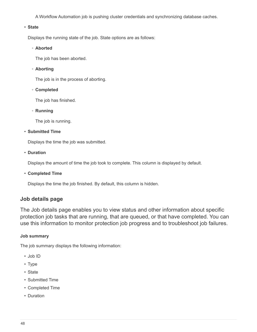A Workflow Automation job is pushing cluster credentials and synchronizing database caches.

#### • **State**

Displays the running state of the job. State options are as follows:

◦ **Aborted**

The job has been aborted.

◦ **Aborting**

The job is in the process of aborting.

◦ **Completed**

The job has finished.

◦ **Running**

The job is running.

### • **Submitted Time**

Displays the time the job was submitted.

• **Duration**

Displays the amount of time the job took to complete. This column is displayed by default.

• **Completed Time**

Displays the time the job finished. By default, this column is hidden.

# **Job details page**

The Job details page enables you to view status and other information about specific protection job tasks that are running, that are queued, or that have completed. You can use this information to monitor protection job progress and to troubleshoot job failures.

### **Job summary**

The job summary displays the following information:

- Job ID
- Type
- State
- Submitted Time
- Completed Time
- Duration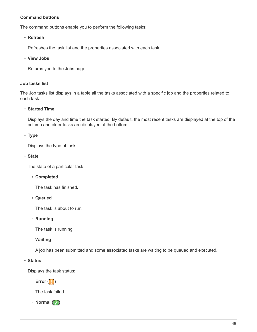### **Command buttons**

The command buttons enable you to perform the following tasks:

#### • **Refresh**

Refreshes the task list and the properties associated with each task.

#### • **View Jobs**

Returns you to the Jobs page.

#### **Job tasks list**

The Job tasks list displays in a table all the tasks associated with a specific job and the properties related to each task.

#### • **Started Time**

Displays the day and time the task started. By default, the most recent tasks are displayed at the top of the column and older tasks are displayed at the bottom.

### • **Type**

Displays the type of task.

#### • **State**

The state of a particular task:

◦ **Completed**

The task has finished.

◦ **Queued**

The task is about to run.

◦ **Running**

The task is running.

◦ **Waiting**

A job has been submitted and some associated tasks are waiting to be queued and executed.

### • **Status**

Displays the task status:

◦ **Error ( )**

The task failed.

◦ **Normal ( )**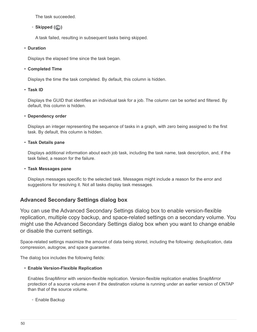The task succeeded.

## $\circ$  **Skipped**  $(\circled{e})$

A task failed, resulting in subsequent tasks being skipped.

### • **Duration**

Displays the elapsed time since the task began.

## • **Completed Time**

Displays the time the task completed. By default, this column is hidden.

### • **Task ID**

Displays the GUID that identifies an individual task for a job. The column can be sorted and filtered. By default, this column is hidden.

### • **Dependency order**

Displays an integer representing the sequence of tasks in a graph, with zero being assigned to the first task. By default, this column is hidden.

### • **Task Details pane**

Displays additional information about each job task, including the task name, task description, and, if the task failed, a reason for the failure.

### • **Task Messages pane**

Displays messages specific to the selected task. Messages might include a reason for the error and suggestions for resolving it. Not all tasks display task messages.

# **Advanced Secondary Settings dialog box**

You can use the Advanced Secondary Settings dialog box to enable version-flexible replication, multiple copy backup, and space-related settings on a secondary volume. You might use the Advanced Secondary Settings dialog box when you want to change enable or disable the current settings.

Space-related settings maximize the amount of data being stored, including the following: deduplication, data compression, autogrow, and space guarantee.

The dialog box includes the following fields:

## • **Enable Version-Flexible Replication**

Enables SnapMirror with version-flexible replication. Version-flexible replication enables SnapMirror protection of a source volume even if the destination volume is running under an earlier version of ONTAP than that of the source volume.

## ◦ Enable Backup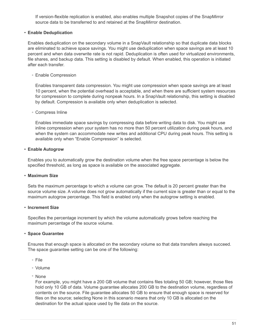If version-flexible replication is enabled, also enables multiple Snapshot copies of the SnapMirror source data to be transferred to and retained at the SnapMirror destination.

#### • **Enable Deduplication**

Enables deduplication on the secondary volume in a SnapVault relationship so that duplicate data blocks are eliminated to achieve space savings. You might use deduplication when space savings are at least 10 percent and when data overwrite rate is not rapid. Deduplication is often used for virtualized environments, file shares, and backup data. This setting is disabled by default. When enabled, this operation is initiated after each transfer.

◦ Enable Compression

Enables transparent data compression. You might use compression when space savings are at least 10 percent, when the potential overhead is acceptable, and when there are sufficient system resources for compression to complete during nonpeak hours. In a SnapVault relationship, this setting is disabled by default. Compression is available only when deduplication is selected.

◦ Compress Inline

Enables immediate space savings by compressing data before writing data to disk. You might use inline compression when your system has no more than 50 percent utilization during peak hours, and when the system can accommodate new writes and additional CPU during peak hours. This setting is available only when "Enable Compression" is selected.

#### • **Enable Autogrow**

Enables you to automatically grow the destination volume when the free space percentage is below the specified threshold, as long as space is available on the associated aggregate.

### • **Maximum Size**

Sets the maximum percentage to which a volume can grow. The default is 20 percent greater than the source volume size. A volume does not grow automatically if the current size is greater than or equal to the maximum autogrow percentage. This field is enabled only when the autogrow setting is enabled.

#### • **Increment Size**

Specifies the percentage increment by which the volume automatically grows before reaching the maximum percentage of the source volume.

### • **Space Guarantee**

Ensures that enough space is allocated on the secondary volume so that data transfers always succeed. The space guarantee setting can be one of the following:

- File
- Volume
- None

For example, you might have a 200 GB volume that contains files totaling 50 GB; however, those files hold only 10 GB of data. Volume guarantee allocates 200 GB to the destination volume, regardless of contents on the source. File guarantee allocates 50 GB to ensure that enough space is reserved for files on the source; selecting None in this scenario means that only 10 GB is allocated on the destination for the actual space used by file data on the source.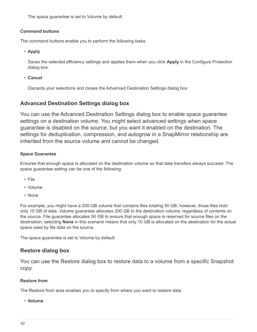The space guarantee is set to Volume by default.

### **Command buttons**

The command buttons enable you to perform the following tasks:

• **Apply**

Saves the selected efficiency settings and applies them when you click **Apply** in the Configure Protection dialog box.

• **Cancel**

Discards your selections and closes the Advanced Destination Settings dialog box.

# **Advanced Destination Settings dialog box**

You can use the Advanced Destination Settings dialog box to enable space guarantee settings on a destination volume. You might select advanced settings when space guarantee is disabled on the source, but you want it enabled on the destination. The settings for deduplication, compression, and autogrow in a SnapMirror relationship are inherited from the source volume and cannot be changed.

## **Space Guarantee**

Ensures that enough space is allocated on the destination volume so that data transfers always succeed. The space guarantee setting can be one of the following:

- File
- Volume
- None

For example, you might have a 200-GB volume that contains files totaling 50 GB; however, those files hold only 10 GB of data. Volume guarantee allocates 200 GB to the destination volume, regardless of contents on the source. File guarantee allocates 50 GB to ensure that enough space is reserved for source files on the destination; selecting **None** in this scenario means that only 10 GB is allocated on the destination for the actual space used by file data on the source.

The space guarantee is set to Volume by default.

# **Restore dialog box**

You can use the Restore dialog box to restore data to a volume from a specific Snapshot copy.

## **Restore from**

The Restore from area enables you to specify from where you want to restore data.

• **Volume**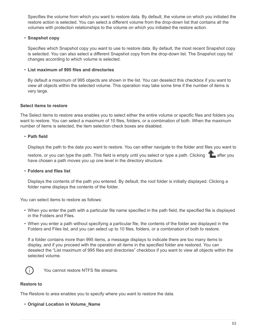Specifies the volume from which you want to restore data. By default, the volume on which you initiated the restore action is selected. You can select a different volume from the drop-down list that contains all the volumes with protection relationships to the volume on which you initiated the restore action.

#### • **Snapshot copy**

Specifies which Snapshot copy you want to use to restore data. By default, the most recent Snapshot copy is selected. You can also select a different Snapshot copy from the drop-down list. The Snapshot copy list changes according to which volume is selected.

#### • **List maximum of 995 files and directories**

By default a maximum of 995 objects are shown in the list. You can deselect this checkbox if you want to view all objects within the selected volume. This operation may take some time if the number of items is very large.

#### **Select items to restore**

The Select items to restore area enables you to select either the entire volume or specific files and folders you want to restore. You can select a maximum of 10 files, folders, or a combination of both. When the maximum number of items is selected, the item selection check boxes are disabled.

#### • **Path field**

Displays the path to the data you want to restore. You can either navigate to the folder and files you want to

restore, or you can type the path. This field is empty until you select or type a path. Clicking a lafter you have chosen a path moves you up one level in the directory structure.

#### • **Folders and files list**

Displays the contents of the path you entered. By default, the root folder is initially displayed. Clicking a folder name displays the contents of the folder.

You can select items to restore as follows:

- When you enter the path with a particular file name specified in the path field, the specified file is displayed in the Folders and Files.
- When you enter a path without specifying a particular file, the contents of the folder are displayed in the Folders and Files list, and you can select up to 10 files, folders, or a combination of both to restore.

If a folder contains more than 995 items, a message displays to indicate there are too many items to display, and if you proceed with the operation all items in the specified folder are restored. You can deselect the "List maximum of 995 files and directories" checkbox if you want to view all objects within the selected volume.



You cannot restore NTFS file streams.

#### **Restore to**

The Restore to area enables you to specify where you want to restore the data.

• **Original Location in Volume\_Name**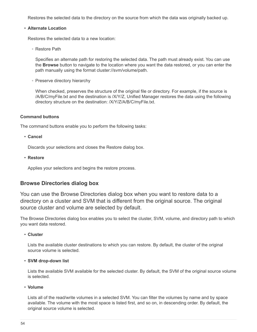Restores the selected data to the directory on the source from which the data was originally backed up.

#### • **Alternate Location**

Restores the selected data to a new location:

◦ Restore Path

Specifies an alternate path for restoring the selected data. The path must already exist. You can use the **Browse** button to navigate to the location where you want the data restored, or you can enter the path manually using the format cluster://svm/volume/path.

◦ Preserve directory hierarchy

When checked, preserves the structure of the original file or directory. For example, if the source is /A/B/C/myFile.txt and the destination is /X/Y/Z, Unified Manager restores the data using the following directory structure on the destination: /X/Y/Z/A/B/C/myFile.txt.

### **Command buttons**

The command buttons enable you to perform the following tasks:

#### • **Cancel**

Discards your selections and closes the Restore dialog box.

• **Restore**

Applies your selections and begins the restore process.

# **Browse Directories dialog box**

You can use the Browse Directories dialog box when you want to restore data to a directory on a cluster and SVM that is different from the original source. The original source cluster and volume are selected by default.

The Browse Directories dialog box enables you to select the cluster, SVM, volume, and directory path to which you want data restored.

#### • **Cluster**

Lists the available cluster destinations to which you can restore. By default, the cluster of the original source volume is selected.

#### • **SVM drop-down list**

Lists the available SVM available for the selected cluster. By default, the SVM of the original source volume is selected.

#### • **Volume**

Lists all of the read/write volumes in a selected SVM. You can filter the volumes by name and by space available. The volume with the most space is listed first, and so on, in descending order. By default, the original source volume is selected.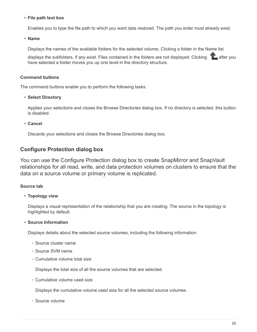#### • **File path text box**

Enables you to type the file path to which you want data restored. The path you enter must already exist.

• **Name**

Displays the names of the available folders for the selected volume. Clicking a folder in the Name list

displays the subfolders, if any exist. Files contained in the folders are not displayed. Clicking **a**fter you have selected a folder moves you up one level in the directory structure.

### **Command buttons**

The command buttons enable you to perform the following tasks:

#### • **Select Directory**

Applies your selections and closes the Browse Directories dialog box. If no directory is selected, this button is disabled.

• **Cancel**

Discards your selections and closes the Browse Directories dialog box.

# **Configure Protection dialog box**

You can use the Configure Protection dialog box to create SnapMirror and SnapVault relationships for all read, write, and data protection volumes on clusters to ensure that the data on a source volume or primary volume is replicated.

### **Source tab**

### • **Topology view**

Displays a visual representation of the relationship that you are creating. The source in the topology is highlighted by default.

### • **Source Information**

Displays details about the selected source volumes, including the following information:

- Source cluster name
- Source SVM name
- Cumulative volume total size

Displays the total size of all the source volumes that are selected.

◦ Cumulative volume used size

Displays the cumulative volume used size for all the selected source volumes.

◦ Source volume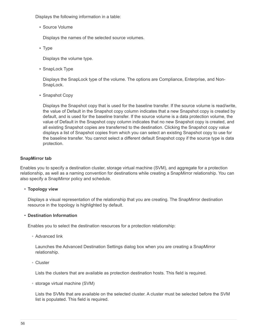Displays the following information in a table:

▪ Source Volume

Displays the names of the selected source volumes.

▪ Type

Displays the volume type.

• SnapLock Type

Displays the SnapLock type of the volume. The options are Compliance, Enterprise, and Non-SnapLock.

• Snapshot Copy

Displays the Snapshot copy that is used for the baseline transfer. If the source volume is read/write, the value of Default in the Snapshot copy column indicates that a new Snapshot copy is created by default, and is used for the baseline transfer. If the source volume is a data protection volume, the value of Default in the Snapshot copy column indicates that no new Snapshot copy is created, and all existing Snapshot copies are transferred to the destination. Clicking the Snapshot copy value displays a list of Snapshot copies from which you can select an existing Snapshot copy to use for the baseline transfer. You cannot select a different default Snapshot copy if the source type is data protection.

### **SnapMirror tab**

Enables you to specify a destination cluster, storage virtual machine (SVM), and aggregate for a protection relationship, as well as a naming convention for destinations while creating a SnapMirror relationship. You can also specify a SnapMirror policy and schedule.

#### • **Topology view**

Displays a visual representation of the relationship that you are creating. The SnapMirror destination resource in the topology is highlighted by default.

#### • **Destination Information**

Enables you to select the destination resources for a protection relationship:

◦ Advanced link

Launches the Advanced Destination Settings dialog box when you are creating a SnapMirror relationship.

◦ Cluster

Lists the clusters that are available as protection destination hosts. This field is required.

◦ storage virtual machine (SVM)

Lists the SVMs that are available on the selected cluster. A cluster must be selected before the SVM list is populated. This field is required.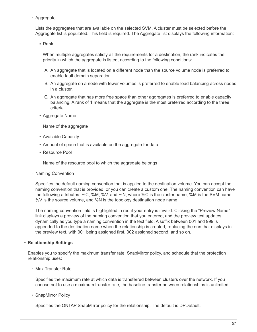◦ Aggregate

Lists the aggregates that are available on the selected SVM. A cluster must be selected before the Aggregate list is populated. This field is required. The Aggregate list displays the following information:

▪ Rank

When multiple aggregates satisfy all the requirements for a destination, the rank indicates the priority in which the aggregate is listed, according to the following conditions:

- A. An aggregate that is located on a different node than the source volume node is preferred to enable fault domain separation.
- B. An aggregate on a node with fewer volumes is preferred to enable load balancing across nodes in a cluster.
- C. An aggregate that has more free space than other aggregates is preferred to enable capacity balancing. A rank of 1 means that the aggregate is the most preferred according to the three criteria.
- Aggregate Name

Name of the aggregate

- Available Capacity
- Amount of space that is available on the aggregate for data
- **Resource Pool**

Name of the resource pool to which the aggregate belongs

◦ Naming Convention

Specifies the default naming convention that is applied to the destination volume. You can accept the naming convention that is provided, or you can create a custom one. The naming convention can have the following attributes: %C, %M, %V, and %N, where %C is the cluster name, %M is the SVM name, %V is the source volume, and %N is the topology destination node name.

The naming convention field is highlighted in red if your entry is invalid. Clicking the "Preview Name" link displays a preview of the naming convention that you entered, and the preview text updates dynamically as you type a naming convention in the text field. A suffix between 001 and 999 is appended to the destination name when the relationship is created, replacing the nnn that displays in the preview text, with 001 being assigned first, 002 assigned second, and so on.

#### • **Relationship Settings**

Enables you to specify the maximum transfer rate, SnapMirror policy, and schedule that the protection relationship uses:

◦ Max Transfer Rate

Specifies the maximum rate at which data is transferred between clusters over the network. If you choose not to use a maximum transfer rate, the baseline transfer between relationships is unlimited.

◦ SnapMirror Policy

Specifies the ONTAP SnapMirror policy for the relationship. The default is DPDefault.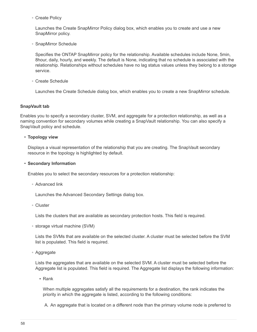◦ Create Policy

Launches the Create SnapMirror Policy dialog box, which enables you to create and use a new SnapMirror policy.

◦ SnapMirror Schedule

Specifies the ONTAP SnapMirror policy for the relationship. Available schedules include None, 5min, 8hour, daily, hourly, and weekly. The default is None, indicating that no schedule is associated with the relationship. Relationships without schedules have no lag status values unless they belong to a storage service.

◦ Create Schedule

Launches the Create Schedule dialog box, which enables you to create a new SnapMirror schedule.

#### **SnapVault tab**

Enables you to specify a secondary cluster, SVM, and aggregate for a protection relationship, as well as a naming convention for secondary volumes while creating a SnapVault relationship. You can also specify a SnapVault policy and schedule.

#### • **Topology view**

Displays a visual representation of the relationship that you are creating. The SnapVault secondary resource in the topology is highlighted by default.

#### • **Secondary Information**

Enables you to select the secondary resources for a protection relationship:

◦ Advanced link

Launches the Advanced Secondary Settings dialog box.

◦ Cluster

Lists the clusters that are available as secondary protection hosts. This field is required.

◦ storage virtual machine (SVM)

Lists the SVMs that are available on the selected cluster. A cluster must be selected before the SVM list is populated. This field is required.

◦ Aggregate

Lists the aggregates that are available on the selected SVM. A cluster must be selected before the Aggregate list is populated. This field is required. The Aggregate list displays the following information:

▪ Rank

When multiple aggregates satisfy all the requirements for a destination, the rank indicates the priority in which the aggregate is listed, according to the following conditions:

A. An aggregate that is located on a different node than the primary volume node is preferred to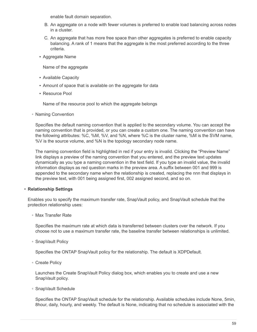enable fault domain separation.

- B. An aggregate on a node with fewer volumes is preferred to enable load balancing across nodes in a cluster.
- C. An aggregate that has more free space than other aggregates is preferred to enable capacity balancing. A rank of 1 means that the aggregate is the most preferred according to the three criteria.
- Aggregate Name

Name of the aggregate

- Available Capacity
- Amount of space that is available on the aggregate for data
- **Resource Pool**

Name of the resource pool to which the aggregate belongs

◦ Naming Convention

Specifies the default naming convention that is applied to the secondary volume. You can accept the naming convention that is provided, or you can create a custom one. The naming convention can have the following attributes: %C, %M, %V, and %N, where %C is the cluster name, %M is the SVM name, %V is the source volume, and %N is the topology secondary node name.

The naming convention field is highlighted in red if your entry is invalid. Clicking the "Preview Name" link displays a preview of the naming convention that you entered, and the preview text updates dynamically as you type a naming convention in the text field. If you type an invalid value, the invalid information displays as red question marks in the preview area. A suffix between 001 and 999 is appended to the secondary name when the relationship is created, replacing the nnn that displays in the preview text, with 001 being assigned first, 002 assigned second, and so on.

### • **Relationship Settings**

Enables you to specify the maximum transfer rate, SnapVault policy, and SnapVault schedule that the protection relationship uses:

◦ Max Transfer Rate

Specifies the maximum rate at which data is transferred between clusters over the network. If you choose not to use a maximum transfer rate, the baseline transfer between relationships is unlimited.

◦ SnapVault Policy

Specifies the ONTAP SnapVault policy for the relationship. The default is XDPDefault.

◦ Create Policy

Launches the Create SnapVault Policy dialog box, which enables you to create and use a new SnapVault policy.

◦ SnapVault Schedule

Specifies the ONTAP SnapVault schedule for the relationship. Available schedules include None, 5min, 8hour, daily, hourly, and weekly. The default is None, indicating that no schedule is associated with the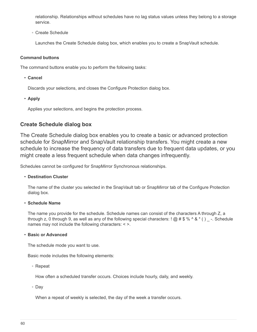relationship. Relationships without schedules have no lag status values unless they belong to a storage service.

◦ Create Schedule

Launches the Create Schedule dialog box, which enables you to create a SnapVault schedule.

#### **Command buttons**

The command buttons enable you to perform the following tasks:

• **Cancel**

Discards your selections, and closes the Configure Protection dialog box.

• **Apply**

Applies your selections, and begins the protection process.

# **Create Schedule dialog box**

The Create Schedule dialog box enables you to create a basic or advanced protection schedule for SnapMirror and SnapVault relationship transfers. You might create a new schedule to increase the frequency of data transfers due to frequent data updates, or you might create a less frequent schedule when data changes infrequently.

Schedules cannot be configured for SnapMirror Synchronous relationships.

### • **Destination Cluster**

The name of the cluster you selected in the SnapVault tab or SnapMirror tab of the Configure Protection dialog box.

### • **Schedule Name**

The name you provide for the schedule. Schedule names can consist of the characters A through Z, a through z, 0 through 9, as well as any of the following special characters:  $\alpha$  #  $\alpha$  %  $\alpha$   $\alpha$   $\alpha$   $\beta$   $\beta$  -. Schedule names may not include the following characters: < >.

#### • **Basic or Advanced**

The schedule mode you want to use.

Basic mode includes the following elements:

◦ Repeat

How often a scheduled transfer occurs. Choices include hourly, daily, and weekly.

◦ Day

When a repeat of weekly is selected, the day of the week a transfer occurs.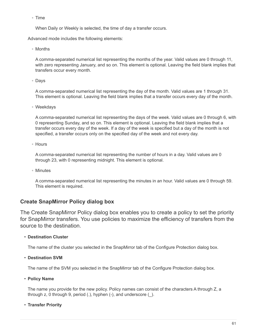◦ Time

When Daily or Weekly is selected, the time of day a transfer occurs.

Advanced mode includes the following elements:

◦ Months

A comma-separated numerical list representing the months of the year. Valid values are 0 through 11, with zero representing January, and so on. This element is optional. Leaving the field blank implies that transfers occur every month.

◦ Days

A comma-separated numerical list representing the day of the month. Valid values are 1 through 31. This element is optional. Leaving the field blank implies that a transfer occurs every day of the month.

◦ Weekdays

A comma-separated numerical list representing the days of the week. Valid values are 0 through 6, with 0 representing Sunday, and so on. This element is optional. Leaving the field blank implies that a transfer occurs every day of the week. If a day of the week is specified but a day of the month is not specified, a transfer occurs only on the specified day of the week and not every day.

◦ Hours

A comma-separated numerical list representing the number of hours in a day. Valid values are 0 through 23, with 0 representing midnight. This element is optional.

◦ Minutes

A comma-separated numerical list representing the minutes in an hour. Valid values are 0 through 59. This element is required.

# **Create SnapMirror Policy dialog box**

The Create SnapMirror Policy dialog box enables you to create a policy to set the priority for SnapMirror transfers. You use policies to maximize the efficiency of transfers from the source to the destination.

### • **Destination Cluster**

The name of the cluster you selected in the SnapMirror tab of the Configure Protection dialog box.

• **Destination SVM**

The name of the SVM you selected in the SnapMirror tab of the Configure Protection dialog box.

• **Policy Name**

The name you provide for the new policy. Policy names can consist of the characters A through Z, a through z, 0 through 9, period (.), hyphen (-), and underscore (\_).

• **Transfer Priority**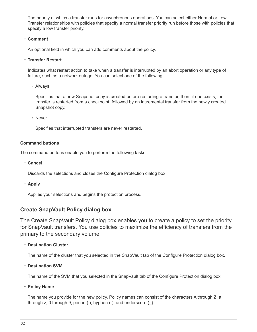The priority at which a transfer runs for asynchronous operations. You can select either Normal or Low. Transfer relationships with policies that specify a normal transfer priority run before those with policies that specify a low transfer priority.

## • **Comment**

An optional field in which you can add comments about the policy.

## • **Transfer Restart**

Indicates what restart action to take when a transfer is interrupted by an abort operation or any type of failure, such as a network outage. You can select one of the following:

◦ Always

Specifies that a new Snapshot copy is created before restarting a transfer, then, if one exists, the transfer is restarted from a checkpoint, followed by an incremental transfer from the newly created Snapshot copy.

◦ Never

Specifies that interrupted transfers are never restarted.

## **Command buttons**

The command buttons enable you to perform the following tasks:

• **Cancel**

Discards the selections and closes the Configure Protection dialog box.

• **Apply**

Applies your selections and begins the protection process.

# **Create SnapVault Policy dialog box**

The Create SnapVault Policy dialog box enables you to create a policy to set the priority for SnapVault transfers. You use policies to maximize the efficiency of transfers from the primary to the secondary volume.

• **Destination Cluster**

The name of the cluster that you selected in the SnapVault tab of the Configure Protection dialog box.

• **Destination SVM**

The name of the SVM that you selected in the SnapVault tab of the Configure Protection dialog box.

• **Policy Name**

The name you provide for the new policy. Policy names can consist of the characters A through Z, a through z, 0 through 9, period (.), hyphen (-), and underscore (\_).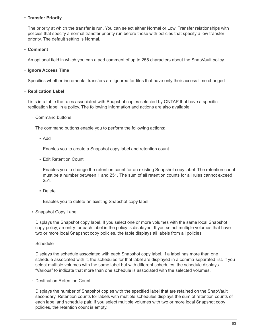### • **Transfer Priority**

The priority at which the transfer is run. You can select either Normal or Low. Transfer relationships with policies that specify a normal transfer priority run before those with policies that specify a low transfer priority. The default setting is Normal.

#### • **Comment**

An optional field in which you can a add comment of up to 255 characters about the SnapVault policy.

#### • **Ignore Access Time**

Specifies whether incremental transfers are ignored for files that have only their access time changed.

#### • **Replication Label**

Lists in a table the rules associated with Snapshot copies selected by ONTAP that have a specific replication label in a policy. The following information and actions are also available:

#### ◦ Command buttons

The command buttons enable you to perform the following actions:

▪ Add

Enables you to create a Snapshot copy label and retention count.

**Edit Retention Count** 

Enables you to change the retention count for an existing Snapshot copy label. The retention count must be a number between 1 and 251. The sum of all retention counts for all rules cannot exceed 251.

▪ Delete

Enables you to delete an existing Snapshot copy label.

◦ Snapshot Copy Label

Displays the Snapshot copy label. If you select one or more volumes with the same local Snapshot copy policy, an entry for each label in the policy is displayed. If you select multiple volumes that have two or more local Snapshot copy policies, the table displays all labels from all policies

◦ Schedule

Displays the schedule associated with each Snapshot copy label. If a label has more than one schedule associated with it, the schedules for that label are displayed in a comma-separated list. If you select multiple volumes with the same label but with different schedules, the schedule displays "Various" to indicate that more than one schedule is associated with the selected volumes.

◦ Destination Retention Count

Displays the number of Snapshot copies with the specified label that are retained on the SnapVault secondary. Retention counts for labels with multiple schedules displays the sum of retention counts of each label and schedule pair. If you select multiple volumes with two or more local Snapshot copy policies, the retention count is empty.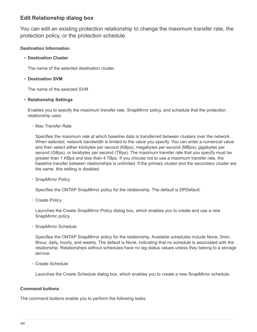# **Edit Relationship dialog box**

You can edit an existing protection relationship to change the maximum transfer rate, the protection policy, or the protection schedule.

## **Destination Information**

### • **Destination Cluster**

The name of the selected destination cluster.

### • **Destination SVM**

The name of the selected SVM

### • **Relationship Settings**

Enables you to specify the maximum transfer rate, SnapMirror policy, and schedule that the protection relationship uses:

◦ Max Transfer Rate

Specifies the maximum rate at which baseline data is transferred between clusters over the network. When selected, network bandwidth is limited to the value you specify. You can enter a numerical value and then select either kilobytes per second (KBps), megabytes per second (MBps), gigabytes per second (GBps), or terabytes per second (TBps). The maximum transfer rate that you specify must be greater than 1 KBps and less than 4 TBps. If you choose not to use a maximum transfer rate, the baseline transfer between relationships is unlimited. If the primary cluster and the secondary cluster are the same, this setting is disabled.

◦ SnapMirror Policy

Specifies the ONTAP SnapMirror policy for the relationship. The default is DPDefault.

◦ Create Policy

Launches the Create SnapMirror Policy dialog box, which enables you to create and use a new SnapMirror policy.

◦ SnapMirror Schedule

Specifies the ONTAP SnapMirror policy for the relationship. Available schedules include None, 5min, 8hour, daily, hourly, and weekly. The default is None, indicating that no schedule is associated with the relationship. Relationships without schedules have no lag status values unless they belong to a storage service.

◦ Create Schedule

Launches the Create Schedule dialog box, which enables you to create a new SnapMirror schedule.

### **Command buttons**

The command buttons enable you to perform the following tasks: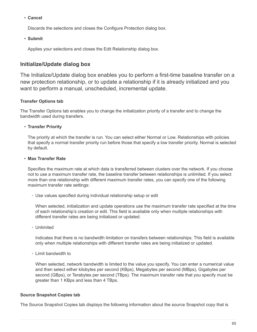### • **Cancel**

Discards the selections and closes the Configure Protection dialog box.

#### • **Submit**

Applies your selections and closes the Edit Relationship dialog box.

# **Initialize/Update dialog box**

The Initialize/Update dialog box enables you to perform a first-time baseline transfer on a new protection relationship, or to update a relationship if it is already initialized and you want to perform a manual, unscheduled, incremental update.

### **Transfer Options tab**

The Transfer Options tab enables you to change the initialization priority of a transfer and to change the bandwidth used during transfers.

#### • **Transfer Priority**

The priority at which the transfer is run. You can select either Normal or Low. Relationships with policies that specify a normal transfer priority run before those that specify a low transfer priority. Normal is selected by default.

#### • **Max Transfer Rate**

Specifies the maximum rate at which data is transferred between clusters over the network. If you choose not to use a maximum transfer rate, the baseline transfer between relationships is unlimited. If you select more than one relationship with different maximum transfer rates, you can specify one of the following maximum transfer rate settings:

◦ Use values specified during individual relationship setup or edit

When selected, initialization and update operations use the maximum transfer rate specified at the time of each relationship's creation or edit. This field is available only when multiple relationships with different transfer rates are being initialized or updated.

◦ Unlimited

Indicates that there is no bandwidth limitation on transfers between relationships. This field is available only when multiple relationships with different transfer rates are being initialized or updated.

◦ Limit bandwidth to

When selected, network bandwidth is limited to the value you specify. You can enter a numerical value and then select either kilobytes per second (KBps), Megabytes per second (MBps), Gigabytes per second (GBps), or Terabytes per second (TBps). The maximum transfer rate that you specify must be greater than 1 KBps and less than 4 TBps.

### **Source Snapshot Copies tab**

The Source Snapshot Copies tab displays the following information about the source Snapshot copy that is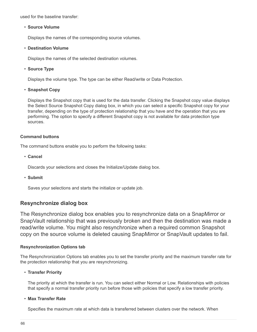used for the baseline transfer:

#### • **Source Volume**

Displays the names of the corresponding source volumes.

#### • **Destination Volume**

Displays the names of the selected destination volumes.

## • **Source Type**

Displays the volume type. The type can be either Read/write or Data Protection.

### • **Snapshot Copy**

Displays the Snapshot copy that is used for the data transfer. Clicking the Snapshot copy value displays the Select Source Snapshot Copy dialog box, in which you can select a specific Snapshot copy for your transfer, depending on the type of protection relationship that you have and the operation that you are performing. The option to specify a different Snapshot copy is not available for data protection type sources.

### **Command buttons**

The command buttons enable you to perform the following tasks:

• **Cancel**

Discards your selections and closes the Initialize/Update dialog box.

• **Submit**

Saves your selections and starts the initialize or update job.

# **Resynchronize dialog box**

The Resynchronize dialog box enables you to resynchronize data on a SnapMirror or SnapVault relationship that was previously broken and then the destination was made a read/write volume. You might also resynchronize when a required common Snapshot copy on the source volume is deleted causing SnapMirror or SnapVault updates to fail.

### **Resynchronization Options tab**

The Resynchronization Options tab enables you to set the transfer priority and the maximum transfer rate for the protection relationship that you are resynchronizing.

### • **Transfer Priority**

The priority at which the transfer is run. You can select either Normal or Low. Relationships with policies that specify a normal transfer priority run before those with policies that specify a low transfer priority.

### • **Max Transfer Rate**

Specifies the maximum rate at which data is transferred between clusters over the network. When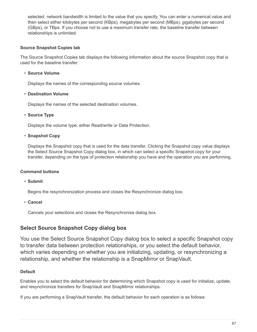selected, network bandwidth is limited to the value that you specify. You can enter a numerical value and then select either kilobytes per second (KBps), megabytes per second (MBps), gigabytes per second (GBps), or TBps. If you choose not to use a maximum transfer rate, the baseline transfer between relationships is unlimited.

## **Source Snapshot Copies tab**

The Source Snapshot Copies tab displays the following information about the source Snapshot copy that is used for the baseline transfer:

## • **Source Volume**

Displays the names of the corresponding source volumes.

### • **Destination Volume**

Displays the names of the selected destination volumes.

### • **Source Type**

Displays the volume type: either Read/write or Data Protection.

### • **Snapshot Copy**

Displays the Snapshot copy that is used for the data transfer. Clicking the Snapshot copy value displays the Select Source Snapshot Copy dialog box, in which can select a specific Snapshot copy for your transfer, depending on the type of protection relationship you have and the operation you are performing.

### **Command buttons**

• **Submit**

Begins the resynchronization process and closes the Resynchronize dialog box.

• **Cancel**

Cancels your selections and closes the Resynchronize dialog box.

# **Select Source Snapshot Copy dialog box**

You use the Select Source Snapshot Copy dialog box to select a specific Snapshot copy to transfer data between protection relationships, or you select the default behavior, which varies depending on whether you are initializing, updating, or resynchronizing a relationship, and whether the relationship is a SnapMirror or SnapVault.

## **Default**

Enables you to select the default behavior for determining which Snapshot copy is used for initialize, update, and resynchronize transfers for SnapVault and SnapMirror relationships.

If you are performing a SnapVault transfer, the default behavior for each operation is as follows: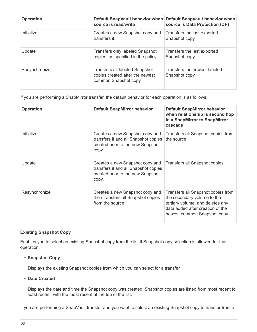| <b>Operation</b> | source is read/write                                                                       | Default SnapVault behavior when Default SnapVault behavior when<br>source is Data Protection (DP) |
|------------------|--------------------------------------------------------------------------------------------|---------------------------------------------------------------------------------------------------|
| Initialize       | Creates a new Snapshot copy and<br>transfers it.                                           | Transfers the last exported<br>Snapshot copy.                                                     |
| Update           | <b>Transfers only labeled Snapshot</b><br>copies, as specified in the policy.              | Transfers the last exported<br>Snapshot copy.                                                     |
| Resynchronize    | Transfers all labeled Snapshot<br>copies created after the newest<br>common Snapshot copy. | Transfers the newest labeled<br>Snapshot copy.                                                    |

If you are performing a SnapMirror transfer, the default behavior for each operation is as follows:

| <b>Operation</b> | <b>Default SnapMirror behavior</b>                                                                                    | <b>Default SnapMirror behavior</b><br>when relationship is second hop<br>in a SnapMirror to SnapMirror<br>cascade                                                         |
|------------------|-----------------------------------------------------------------------------------------------------------------------|---------------------------------------------------------------------------------------------------------------------------------------------------------------------------|
| Initialize       | Creates a new Snapshot copy and<br>transfers it and all Snapshot copies<br>created prior to the new Snapshot<br>copy. | Transfers all Snapshot copies from<br>the source.                                                                                                                         |
| Update           | Creates a new Snapshot copy and<br>transfers it and all Snapshot copies<br>created prior to the new Snapshot<br>copy. | Transfers all Snapshot copies.                                                                                                                                            |
| Resynchronize    | Creates a new Snapshot copy and<br>then transfers all Snapshot copies<br>from the source.                             | Transfers all Snapshot copies from<br>the secondary volume to the<br>tertiary volume, and deletes any<br>data added after creation of the<br>newest common Snapshot copy. |

### **Existing Snapshot Copy**

Enables you to select an existing Snapshot copy from the list if Snapshot copy selection is allowed for that operation.

#### • **Snapshot Copy**

Displays the existing Snapshot copies from which you can select for a transfer.

### • **Date Created**

Displays the date and time the Snapshot copy was created. Snapshot copies are listed from most recent to least recent, with the most recent at the top of the list.

If you are performing a SnapVault transfer and you want to select an existing Snapshot copy to transfer from a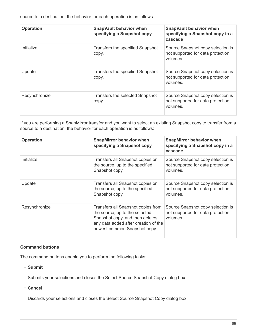source to a destination, the behavior for each operation is as follows:

| <b>Operation</b> | <b>SnapVault behavior when</b><br>specifying a Snapshot copy | <b>SnapVault behavior when</b><br>specifying a Snapshot copy in a<br>cascade       |
|------------------|--------------------------------------------------------------|------------------------------------------------------------------------------------|
| Initialize       | Transfers the specified Snapshot<br>copy.                    | Source Snapshot copy selection is<br>not supported for data protection<br>volumes. |
| Update           | Transfers the specified Snapshot<br>copy.                    | Source Snapshot copy selection is<br>not supported for data protection<br>volumes. |
| Resynchronize    | Transfers the selected Snapshot<br>copy.                     | Source Snapshot copy selection is<br>not supported for data protection<br>volumes. |

If you are performing a SnapMirror transfer and you want to select an existing Snapshot copy to transfer from a source to a destination, the behavior for each operation is as follows:

| <b>Operation</b> | <b>SnapMirror behavior when</b><br>specifying a Snapshot copy                                                                                                                   | <b>SnapMirror behavior when</b><br>specifying a Snapshot copy in a<br>cascade      |
|------------------|---------------------------------------------------------------------------------------------------------------------------------------------------------------------------------|------------------------------------------------------------------------------------|
| Initialize       | Transfers all Snapshot copies on<br>the source, up to the specified<br>Snapshot copy.                                                                                           | Source Snapshot copy selection is<br>not supported for data protection<br>volumes. |
| Update           | Transfers all Snapshot copies on<br>the source, up to the specified<br>Snapshot copy.                                                                                           | Source Snapshot copy selection is<br>not supported for data protection<br>volumes. |
| Resynchronize    | Transfers all Snapshot copies from<br>the source, up to the selected<br>Snapshot copy, and then deletes<br>any data added after creation of the<br>newest common Snapshot copy. | Source Snapshot copy selection is<br>not supported for data protection<br>volumes. |

### **Command buttons**

The command buttons enable you to perform the following tasks:

• **Submit**

Submits your selections and closes the Select Source Snapshot Copy dialog box.

• **Cancel**

Discards your selections and closes the Select Source Snapshot Copy dialog box.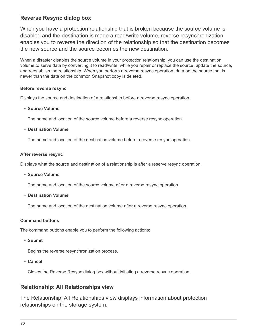# **Reverse Resync dialog box**

When you have a protection relationship that is broken because the source volume is disabled and the destination is made a read/write volume, reverse resynchronization enables you to reverse the direction of the relationship so that the destination becomes the new source and the source becomes the new destination.

When a disaster disables the source volume in your protection relationship, you can use the destination volume to serve data by converting it to read/write, while you repair or replace the source, update the source, and reestablish the relationship. When you perform a reverse resync operation, data on the source that is newer than the data on the common Snapshot copy is deleted.

## **Before reverse resync**

Displays the source and destination of a relationship before a reverse resync operation.

### • **Source Volume**

The name and location of the source volume before a reverse resync operation.

### • **Destination Volume**

The name and location of the destination volume before a reverse resync operation.

### **After reverse resync**

Displays what the source and destination of a relationship is after a reserve resync operation.

• **Source Volume**

The name and location of the source volume after a reverse resync operation.

• **Destination Volume**

The name and location of the destination volume after a reverse resync operation.

## **Command buttons**

The command buttons enable you to perform the following actions:

• **Submit**

Begins the reverse resynchronization process.

• **Cancel**

Closes the Reverse Resync dialog box without initiating a reverse resync operation.

# **Relationship: All Relationships view**

The Relationship: All Relationships view displays information about protection relationships on the storage system.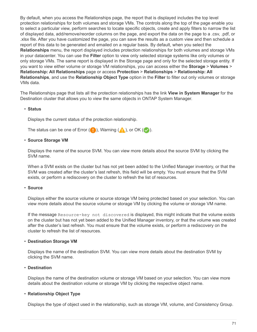By default, when you access the Relationships page, the report that is displayed includes the top level protection relationships for both volumes and storage VMs. The controls along the top of the page enable you to select a particular view, perform searches to locate specific objects, create and apply filters to narrow the list of displayed data, add/remove/reorder columns on the page, and export the data on the page to a .csv, .pdf, or .xlsx file. After you have customized the page, you can save the results as a custom view and then schedule a report of this data to be generated and emailed on a regular basis. By default, when you select the **Relationships** menu, the report displayed includes protection relationships for both volumes and storage VMs in your datacenter. You can use the **Filter** option to view only selected storage systems like only volumes or only storage VMs. The same report is displayed in the Storage page and only for the selected storage entity. If you want to view either volume or storage VM relationships, you can access either the **Storage** > **Volumes** > **Relationship: All Relationships** page or access **Protection** > **Relationships** > **Relationship: All Relationships**, and use the **Relationship Object Type** option in the **Filter** to filter out only volumes or storage VMs data.

The Relationships page that lists all the protection relationships has the link **View in System Manager** for the Destination cluster that allows you to view the same objects in ONTAP System Manager.

#### • **Status**

Displays the current status of the protection relationship.

The status can be one of Error  $( \bullet )$ , Warning  $( \bullet )$ , or OK  $( \bullet )$ .

#### • **Source Storage VM**

Displays the name of the source SVM. You can view more details about the source SVM by clicking the SVM name.

When a SVM exists on the cluster but has not yet been added to the Unified Manager inventory, or that the SVM was created after the cluster's last refresh, this field will be empty. You must ensure that the SVM exists, or perform a rediscovery on the cluster to refresh the list of resources.

#### • **Source**

Displays either the source volume or source storage VM being protected based on your selection. You can view more details about the source volume or storage VM by clicking the volume or storage VM name.

If the message Resource-key not discovered is displayed, this might indicate that the volume exists on the cluster but has not yet been added to the Unified Manager inventory, or that the volume was created after the cluster's last refresh. You must ensure that the volume exists, or perform a rediscovery on the cluster to refresh the list of resources.

#### • **Destination Storage VM**

Displays the name of the destination SVM. You can view more details about the destination SVM by clicking the SVM name.

#### • **Destination**

Displays the name of the destination volume or storage VM based on your selection. You can view more details about the destination volume or storage VM by clicking the respective object name.

#### • **Relationship Object Type**

Displays the type of object used in the relationship, such as storage VM, volume, and Consistency Group.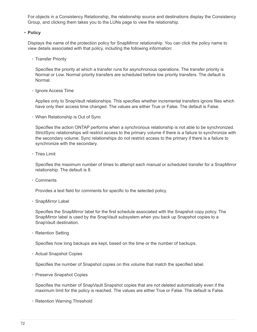For objects in a Consistency Relationship, the relationship source and destinations display the Consistency Group, and clicking them takes you to the LUNs page to view the relationship.

#### • **Policy**

Displays the name of the protection policy for SnapMirror relationship. You can click the policy name to view details associated with that policy, including the following information:

◦ Transfer Priority

Specifies the priority at which a transfer runs for asynchronous operations. The transfer priority is Normal or Low. Normal priority transfers are scheduled before low priority transfers. The default is Normal.

◦ Ignore Access Time

Applies only to SnapVault relationships. This specifies whether incremental transfers ignore files which have only their access time changed. The values are either True or False. The default is False.

◦ When Relationship is Out of Sync

Specifies the action ONTAP performs when a synchronous relationship is not able to be synchronized. StrictSync relationships will restrict access to the primary volume if there is a failure to synchronize with the secondary volume. Sync relationships do not restrict access to the primary if there is a failure to synchronize with the secondary.

◦ Tries Limit

Specifies the maximum number of times to attempt each manual or scheduled transfer for a SnapMirror relationship. The default is 8.

◦ Comments

Provides a text field for comments for specific to the selected policy.

◦ SnapMirror Label

Specifies the SnapMirror label for the first schedule associated with the Snapshot copy policy. The SnapMirror label is used by the SnapVault subsystem when you back up Snapshot copies to a SnapVault destination.

◦ Retention Setting

Specifies how long backups are kept, based on the time or the number of backups.

◦ Actual Snapshot Copies

Specifies the number of Snapshot copies on this volume that match the specified label.

◦ Preserve Snapshot Copies

Specifies the number of SnapVault Snapshot copies that are not deleted automatically even if the maximum limit for the policy is reached. The values are either True or False. The default is False.

◦ Retention Warning Threshold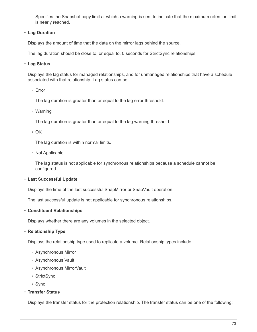Specifies the Snapshot copy limit at which a warning is sent to indicate that the maximum retention limit is nearly reached.

## • **Lag Duration**

Displays the amount of time that the data on the mirror lags behind the source.

The lag duration should be close to, or equal to, 0 seconds for StrictSync relationships.

## • **Lag Status**

Displays the lag status for managed relationships, and for unmanaged relationships that have a schedule associated with that relationship. Lag status can be:

◦ Error

The lag duration is greater than or equal to the lag error threshold.

◦ Warning

The lag duration is greater than or equal to the lag warning threshold.

◦ OK

The lag duration is within normal limits.

◦ Not Applicable

The lag status is not applicable for synchronous relationships because a schedule cannot be configured.

## • **Last Successful Update**

Displays the time of the last successful SnapMirror or SnapVault operation.

The last successful update is not applicable for synchronous relationships.

## • **Constituent Relationships**

Displays whether there are any volumes in the selected object.

## • **Relationship Type**

Displays the relationship type used to replicate a volume. Relationship types include:

- Asynchronous Mirror
- Asynchronous Vault
- Asynchronous MirrorVault
- StrictSync
- Sync
- **Transfer Status**

Displays the transfer status for the protection relationship. The transfer status can be one of the following: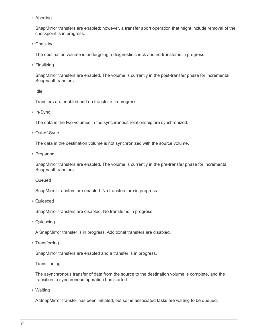◦ Aborting

SnapMirror transfers are enabled; however, a transfer abort operation that might include removal of the checkpoint is in progress.

◦ Checking

The destination volume is undergoing a diagnostic check and no transfer is in progress.

◦ Finalizing

SnapMirror transfers are enabled. The volume is currently in the post-transfer phase for incremental SnapVault transfers.

◦ Idle

Transfers are enabled and no transfer is in progress.

◦ In-Sync

The data in the two volumes in the synchronous relationship are synchronized.

◦ Out-of-Sync

The data in the destination volume is not synchronized with the source volume.

◦ Preparing

SnapMirror transfers are enabled. The volume is currently in the pre-transfer phase for incremental SnapVault transfers.

◦ Queued

SnapMirror transfers are enabled. No transfers are in progress.

◦ Quiesced

SnapMirror transfers are disabled. No transfer is in progress.

◦ Quiescing

A SnapMirror transfer is in progress. Additional transfers are disabled.

◦ Transferring

SnapMirror transfers are enabled and a transfer is in progress.

◦ Transitioning

The asynchronous transfer of data from the source to the destination volume is complete, and the transition to synchronous operation has started.

◦ Waiting

A SnapMirror transfer has been initiated, but some associated tasks are waiting to be queued.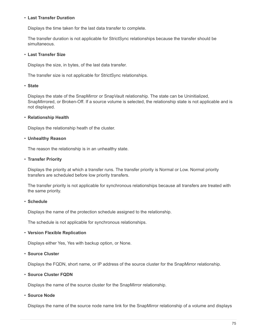### • **Last Transfer Duration**

Displays the time taken for the last data transfer to complete.

The transfer duration is not applicable for StrictSync relationships because the transfer should be simultaneous.

### • **Last Transfer Size**

Displays the size, in bytes, of the last data transfer.

The transfer size is not applicable for StrictSync relationships.

### • **State**

Displays the state of the SnapMirror or SnapVault relationship. The state can be Uninitialized, SnapMirrored, or Broken-Off. If a source volume is selected, the relationship state is not applicable and is not displayed.

## • **Relationship Health**

Displays the relationship heath of the cluster.

### • **Unhealthy Reason**

The reason the relationship is in an unhealthy state.

### • **Transfer Priority**

Displays the priority at which a transfer runs. The transfer priority is Normal or Low. Normal priority transfers are scheduled before low priority transfers.

The transfer priority is not applicable for synchronous relationships because all transfers are treated with the same priority.

## • **Schedule**

Displays the name of the protection schedule assigned to the relationship.

The schedule is not applicable for synchronous relationships.

## • **Version Flexible Replication**

Displays either Yes, Yes with backup option, or None.

## • **Source Cluster**

Displays the FQDN, short name, or IP address of the source cluster for the SnapMirror relationship.

## • **Source Cluster FQDN**

Displays the name of the source cluster for the SnapMirror relationship.

#### • **Source Node**

Displays the name of the source node name link for the SnapMirror relationship of a volume and displays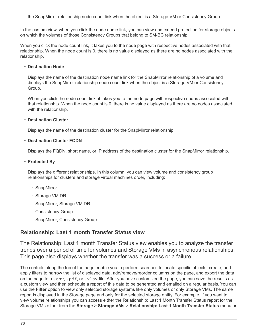the SnapMirror relationship node count link when the object is a Storage VM or Consistency Group.

In the custom view, when you click the node name link, you can view and extend protection for storage objects on which the volumes of those Consistency Groups that belong to SM-BC relationship.

When you click the node count link, it takes you to the node page with respective nodes associated with that relationship. When the node count is 0, there is no value displayed as there are no nodes associated with the relationship.

## • **Destination Node**

Displays the name of the destination node name link for the SnapMirror relationship of a volume and displays the SnapMirror relationship node count link when the object is a Storage VM or Consistency Group.

When you click the node count link, it takes you to the node page with respective nodes associated with that relationship. When the node count is 0, there is no value displayed as there are no nodes associated with the relationship.

### • **Destination Cluster**

Displays the name of the destination cluster for the SnapMirror relationship.

### • **Destination Cluster FQDN**

Displays the FQDN, short name, or IP address of the destination cluster for the SnapMirror relationship.

### • **Protected By**

Displays the different relationships. In this column, you can view volume and consistency group relationships for clusters and storage virtual machines order, including:

- SnapMirror
- Storage VM DR
- SnapMirror, Storage VM DR
- Consistency Group
- SnapMirror, Consistency Group.

# **Relationship: Last 1 month Transfer Status view**

The Relationship: Last 1 month Transfer Status view enables you to analyze the transfer trends over a period of time for volumes and Storage VMs in asynchronous relationships. This page also displays whether the transfer was a success or a failure.

The controls along the top of the page enable you to perform searches to locate specific objects, create, and apply filters to narrow the list of displayed data, add/remove/reorder columns on the page, and export the data on the page to a .csv, .pdf, or .xlsx file. After you have customized the page, you can save the results as a custom view and then schedule a report of this data to be generated and emailed on a regular basis. You can use the **Filter** option to view only selected storage systems like only volumes or only Storage VMs. The same report is displayed in the Storage page and only for the selected storage entity. For example, if you want to view volume relationships you can access either the Relationship: Last 1 Month Transfer Status report for the Storage VMs either from the **Storage** > **Storage VMs** > **Relationship: Last 1 Month Transfer Status** menu or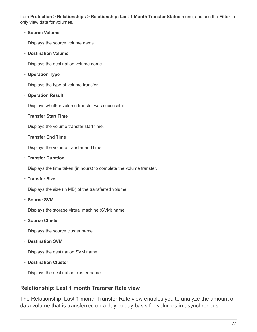from **Protection** > **Relationships** > **Relationship: Last 1 Month Transfer Status** menu, and use the **Filter** to only view data for volumes.

## • **Source Volume**

Displays the source volume name.

• **Destination Volume**

Displays the destination volume name.

• **Operation Type**

Displays the type of volume transfer.

## • **Operation Result**

Displays whether volume transfer was successful.

## • **Transfer Start Time**

Displays the volume transfer start time.

## • **Transfer End Time**

Displays the volume transfer end time.

## • **Transfer Duration**

Displays the time taken (in hours) to complete the volume transfer.

• **Transfer Size**

Displays the size (in MB) of the transferred volume.

• **Source SVM**

Displays the storage virtual machine (SVM) name.

• **Source Cluster**

Displays the source cluster name.

• **Destination SVM**

Displays the destination SVM name.

• **Destination Cluster**

Displays the destination cluster name.

# **Relationship: Last 1 month Transfer Rate view**

The Relationship: Last 1 month Transfer Rate view enables you to analyze the amount of data volume that is transferred on a day-to-day basis for volumes in asynchronous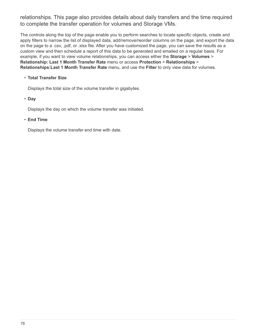relationships. This page also provides details about daily transfers and the time required to complete the transfer operation for volumes and Storage VMs.

The controls along the top of the page enable you to perform searches to locate specific objects, create and apply filters to narrow the list of displayed data, add/remove/reorder columns on the page, and export the data on the page to a .csv, .pdf, or .xlsx file. After you have customized the page, you can save the results as a custom view and then schedule a report of this data to be generated and emailed on a regular basis. For example, if you want to view volume relationships, you can access either the **Storage** > **Volumes** > **Relationship: Last 1 Month Transfer Rate** menu or access **Protection** > **Relationships** > **Relationships:Last 1 Month Transfer Rate** menu, and use the **Filter** to only view data for volumes.

## • **Total Transfer Size**

Displays the total size of the volume transfer in gigabytes.

### • **Day**

Displays the day on which the volume transfer was initiated.

### • **End Time**

Displays the volume transfer end time with date.